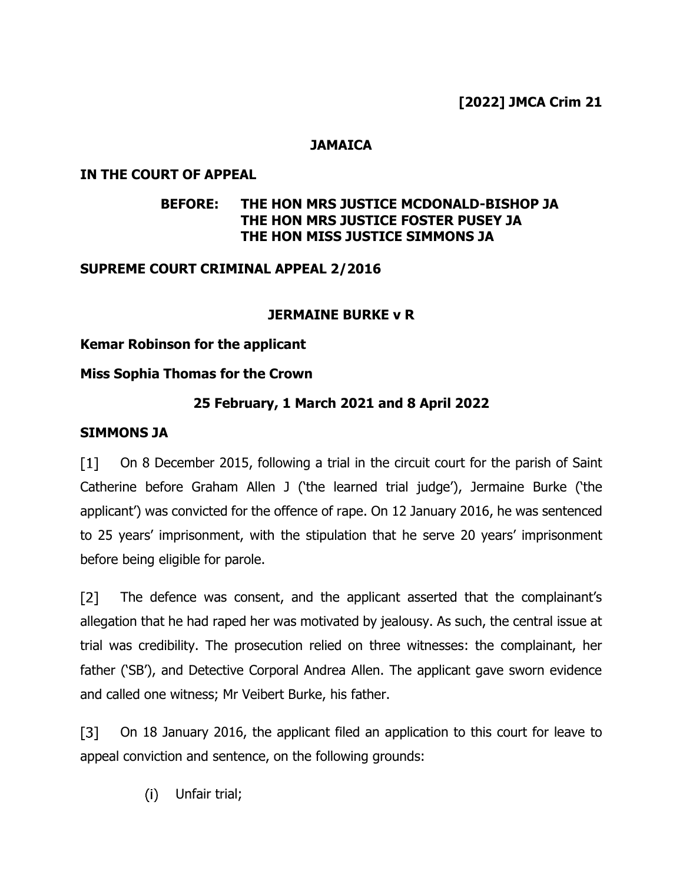### **JAMAICA**

### **IN THE COURT OF APPEAL**

## **BEFORE: THE HON MRS JUSTICE MCDONALD-BISHOP JA THE HON MRS JUSTICE FOSTER PUSEY JA THE HON MISS JUSTICE SIMMONS JA**

### **SUPREME COURT CRIMINAL APPEAL 2/2016**

### **JERMAINE BURKE v R**

### **Kemar Robinson for the applicant**

### **Miss Sophia Thomas for the Crown**

## **25 February, 1 March 2021 and 8 April 2022**

### **SIMMONS JA**

On 8 December 2015, following a trial in the circuit court for the parish of Saint  $[1]$ Catherine before Graham Allen J ('the learned trial judge'), Jermaine Burke ('the applicant') was convicted for the offence of rape. On 12 January 2016, he was sentenced to 25 years' imprisonment, with the stipulation that he serve 20 years' imprisonment before being eligible for parole.

 $\sqrt{2}$ The defence was consent, and the applicant asserted that the complainant's allegation that he had raped her was motivated by jealousy. As such, the central issue at trial was credibility. The prosecution relied on three witnesses: the complainant, her father ('SB'), and Detective Corporal Andrea Allen. The applicant gave sworn evidence and called one witness; Mr Veibert Burke, his father.

 $\sqrt{31}$ On 18 January 2016, the applicant filed an application to this court for leave to appeal conviction and sentence, on the following grounds:

> Unfair trial; $(i)$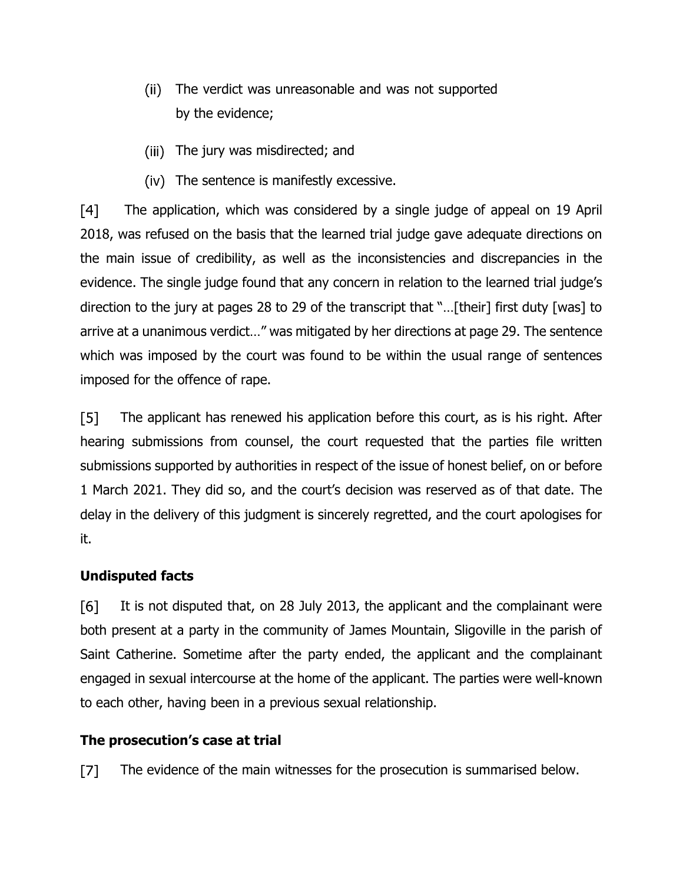- $(ii)$ The verdict was unreasonable and was not supported by the evidence;
- (iii) The jury was misdirected; and
- (iv) The sentence is manifestly excessive.

 $\lceil 4 \rceil$ The application, which was considered by a single judge of appeal on 19 April 2018, was refused on the basis that the learned trial judge gave adequate directions on the main issue of credibility, as well as the inconsistencies and discrepancies in the evidence. The single judge found that any concern in relation to the learned trial judge's direction to the jury at pages 28 to 29 of the transcript that "…[their] first duty [was] to arrive at a unanimous verdict…" was mitigated by her directions at page 29. The sentence which was imposed by the court was found to be within the usual range of sentences imposed for the offence of rape.

 $[5]$ The applicant has renewed his application before this court, as is his right. After hearing submissions from counsel, the court requested that the parties file written submissions supported by authorities in respect of the issue of honest belief, on or before 1 March 2021. They did so, and the court's decision was reserved as of that date. The delay in the delivery of this judgment is sincerely regretted, and the court apologises for it.

# **Undisputed facts**

[6] It is not disputed that, on 28 July 2013, the applicant and the complainant were both present at a party in the community of James Mountain, Sligoville in the parish of Saint Catherine. Sometime after the party ended, the applicant and the complainant engaged in sexual intercourse at the home of the applicant. The parties were well-known to each other, having been in a previous sexual relationship.

# **The prosecution's case at trial**

The evidence of the main witnesses for the prosecution is summarised below.  $\mathsf{I}7\mathsf{I}$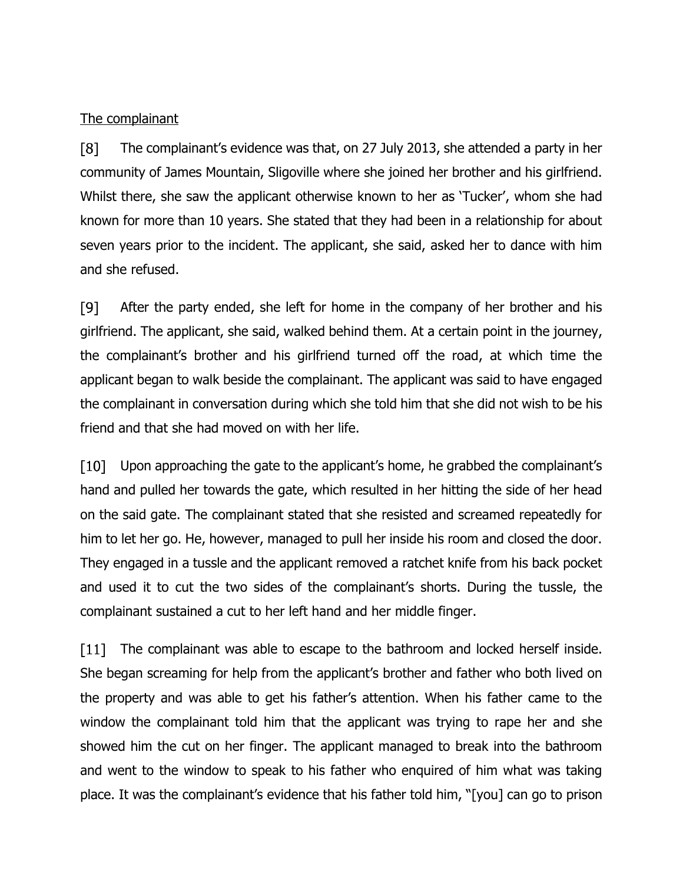### The complainant

 $\lceil 8 \rceil$ The complainant's evidence was that, on 27 July 2013, she attended a party in her community of James Mountain, Sligoville where she joined her brother and his girlfriend. Whilst there, she saw the applicant otherwise known to her as 'Tucker', whom she had known for more than 10 years. She stated that they had been in a relationship for about seven years prior to the incident. The applicant, she said, asked her to dance with him and she refused.

[9] After the party ended, she left for home in the company of her brother and his girlfriend. The applicant, she said, walked behind them. At a certain point in the journey, the complainant's brother and his girlfriend turned off the road, at which time the applicant began to walk beside the complainant. The applicant was said to have engaged the complainant in conversation during which she told him that she did not wish to be his friend and that she had moved on with her life.

 $\lceil 10 \rceil$ Upon approaching the gate to the applicant's home, he grabbed the complainant's hand and pulled her towards the gate, which resulted in her hitting the side of her head on the said gate. The complainant stated that she resisted and screamed repeatedly for him to let her go. He, however, managed to pull her inside his room and closed the door. They engaged in a tussle and the applicant removed a ratchet knife from his back pocket and used it to cut the two sides of the complainant's shorts. During the tussle, the complainant sustained a cut to her left hand and her middle finger.

 $\lceil 11 \rceil$ The complainant was able to escape to the bathroom and locked herself inside. She began screaming for help from the applicant's brother and father who both lived on the property and was able to get his father's attention. When his father came to the window the complainant told him that the applicant was trying to rape her and she showed him the cut on her finger. The applicant managed to break into the bathroom and went to the window to speak to his father who enquired of him what was taking place. It was the complainant's evidence that his father told him, "[you] can go to prison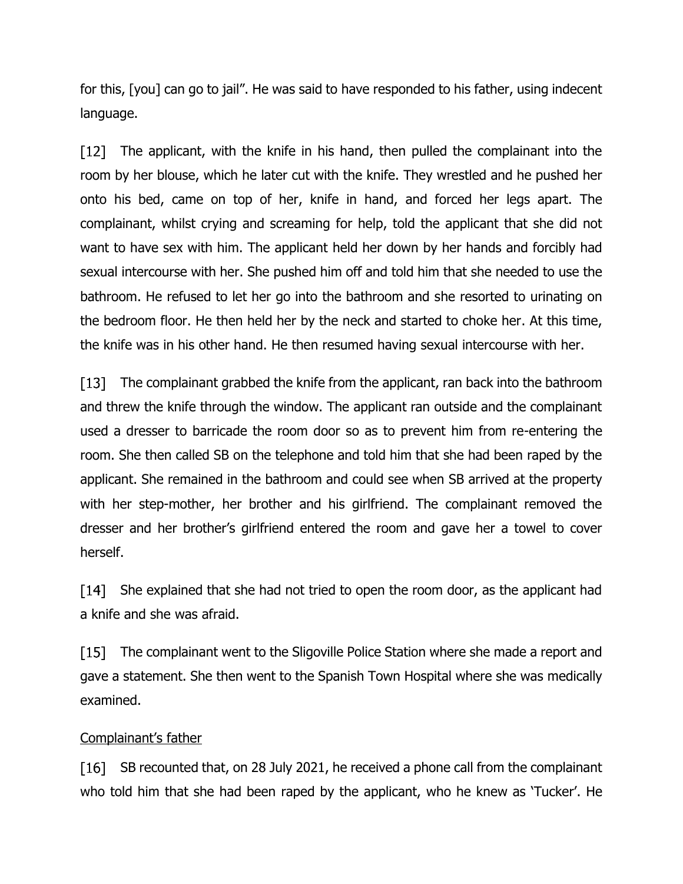for this, [you] can go to jail". He was said to have responded to his father, using indecent language.

 $\lceil 12 \rceil$ The applicant, with the knife in his hand, then pulled the complainant into the room by her blouse, which he later cut with the knife. They wrestled and he pushed her onto his bed, came on top of her, knife in hand, and forced her legs apart. The complainant, whilst crying and screaming for help, told the applicant that she did not want to have sex with him. The applicant held her down by her hands and forcibly had sexual intercourse with her. She pushed him off and told him that she needed to use the bathroom. He refused to let her go into the bathroom and she resorted to urinating on the bedroom floor. He then held her by the neck and started to choke her. At this time, the knife was in his other hand. He then resumed having sexual intercourse with her.

[13] The complainant grabbed the knife from the applicant, ran back into the bathroom and threw the knife through the window. The applicant ran outside and the complainant used a dresser to barricade the room door so as to prevent him from re-entering the room. She then called SB on the telephone and told him that she had been raped by the applicant. She remained in the bathroom and could see when SB arrived at the property with her step-mother, her brother and his girlfriend. The complainant removed the dresser and her brother's girlfriend entered the room and gave her a towel to cover herself.

 $\lceil 14 \rceil$ She explained that she had not tried to open the room door, as the applicant had a knife and she was afraid.

 $[15]$ The complainant went to the Sligoville Police Station where she made a report and gave a statement. She then went to the Spanish Town Hospital where she was medically examined.

## Complainant's father

SB recounted that, on 28 July 2021, he received a phone call from the complainant [16] who told him that she had been raped by the applicant, who he knew as 'Tucker'. He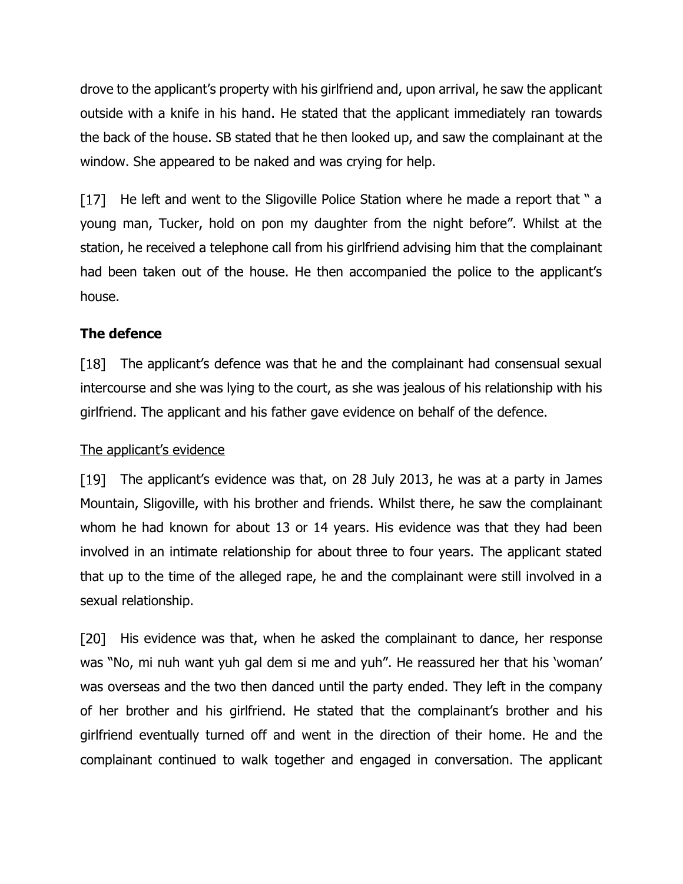drove to the applicant's property with his girlfriend and, upon arrival, he saw the applicant outside with a knife in his hand. He stated that the applicant immediately ran towards the back of the house. SB stated that he then looked up, and saw the complainant at the window. She appeared to be naked and was crying for help.

[17] He left and went to the Sligoville Police Station where he made a report that " a young man, Tucker, hold on pon my daughter from the night before". Whilst at the station, he received a telephone call from his girlfriend advising him that the complainant had been taken out of the house. He then accompanied the police to the applicant's house.

# **The defence**

[18] The applicant's defence was that he and the complainant had consensual sexual intercourse and she was lying to the court, as she was jealous of his relationship with his girlfriend. The applicant and his father gave evidence on behalf of the defence.

## The applicant's evidence

The applicant's evidence was that, on 28 July 2013, he was at a party in James [19] Mountain, Sligoville, with his brother and friends. Whilst there, he saw the complainant whom he had known for about 13 or 14 years. His evidence was that they had been involved in an intimate relationship for about three to four years. The applicant stated that up to the time of the alleged rape, he and the complainant were still involved in a sexual relationship.

His evidence was that, when he asked the complainant to dance, her response [20] was "No, mi nuh want yuh gal dem si me and yuh". He reassured her that his 'woman' was overseas and the two then danced until the party ended. They left in the company of her brother and his girlfriend. He stated that the complainant's brother and his girlfriend eventually turned off and went in the direction of their home. He and the complainant continued to walk together and engaged in conversation. The applicant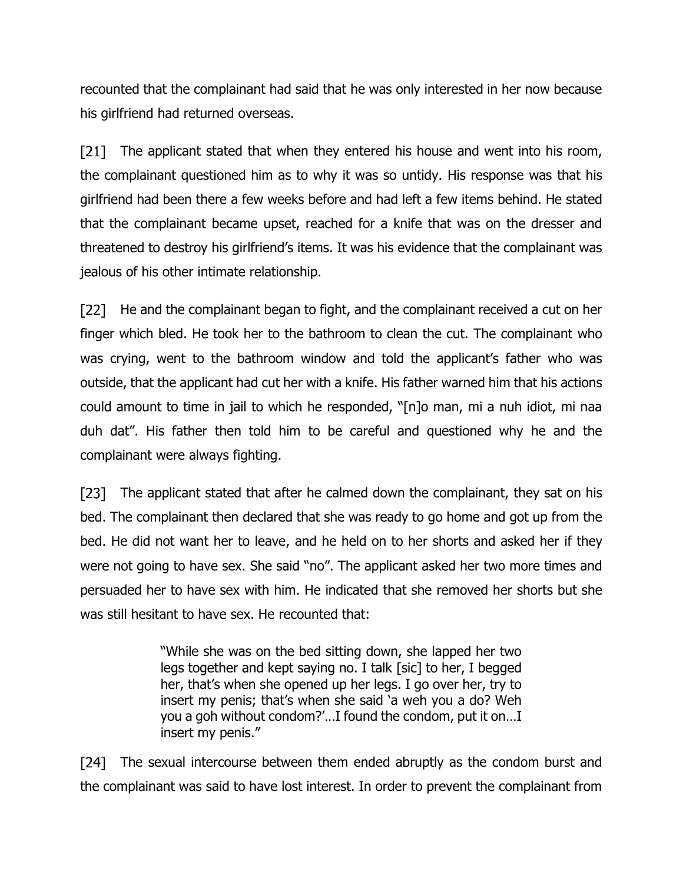recounted that the complainant had said that he was only interested in her now because his girlfriend had returned overseas.

 $\lceil 21 \rceil$ The applicant stated that when they entered his house and went into his room, the complainant questioned him as to why it was so untidy. His response was that his girlfriend had been there a few weeks before and had left a few items behind. He stated that the complainant became upset, reached for a knife that was on the dresser and threatened to destroy his girlfriend's items. It was his evidence that the complainant was jealous of his other intimate relationship.

[22] He and the complainant began to fight, and the complainant received a cut on her finger which bled. He took her to the bathroom to clean the cut. The complainant who was crying, went to the bathroom window and told the applicant's father who was outside, that the applicant had cut her with a knife. His father warned him that his actions could amount to time in jail to which he responded, "[n]o man, mi a nuh idiot, mi naa duh dat". His father then told him to be careful and questioned why he and the complainant were always fighting.

The applicant stated that after he calmed down the complainant, they sat on his bed. The complainant then declared that she was ready to go home and got up from the bed. He did not want her to leave, and he held on to her shorts and asked her if they were not going to have sex. She said "no". The applicant asked her two more times and persuaded her to have sex with him. He indicated that she removed her shorts but she was still hesitant to have sex. He recounted that:

> "While she was on the bed sitting down, she lapped her two legs together and kept saying no. I talk [sic] to her, I begged her, that's when she opened up her legs. I go over her, try to insert my penis; that's when she said 'a weh you a do? Weh you a goh without condom?'…I found the condom, put it on…I insert my penis."

[24] The sexual intercourse between them ended abruptly as the condom burst and the complainant was said to have lost interest. In order to prevent the complainant from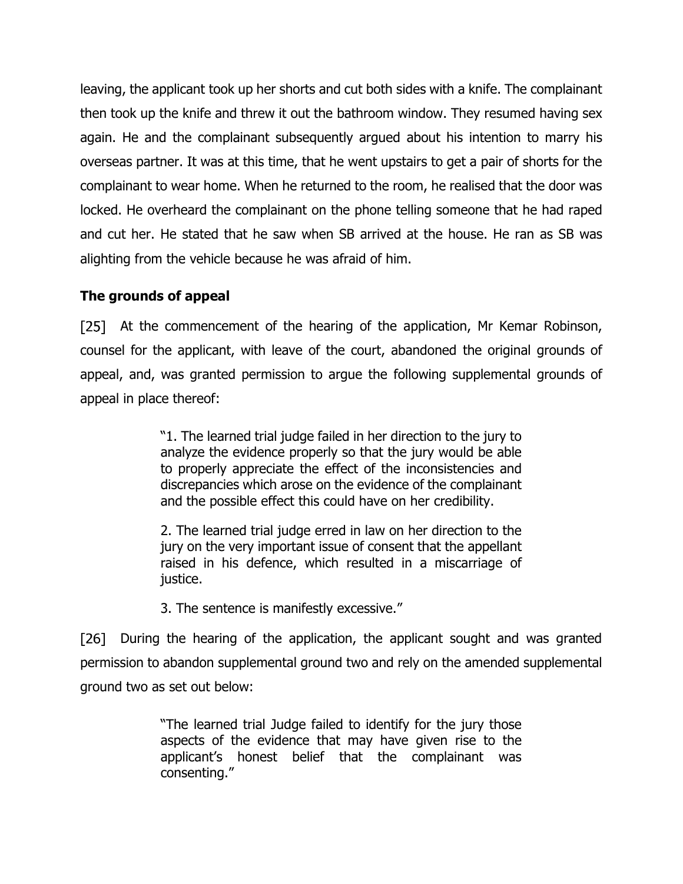leaving, the applicant took up her shorts and cut both sides with a knife. The complainant then took up the knife and threw it out the bathroom window. They resumed having sex again. He and the complainant subsequently argued about his intention to marry his overseas partner. It was at this time, that he went upstairs to get a pair of shorts for the complainant to wear home. When he returned to the room, he realised that the door was locked. He overheard the complainant on the phone telling someone that he had raped and cut her. He stated that he saw when SB arrived at the house. He ran as SB was alighting from the vehicle because he was afraid of him.

# **The grounds of appeal**

[25] At the commencement of the hearing of the application, Mr Kemar Robinson, counsel for the applicant, with leave of the court, abandoned the original grounds of appeal, and, was granted permission to argue the following supplemental grounds of appeal in place thereof:

> "1. The learned trial judge failed in her direction to the jury to analyze the evidence properly so that the jury would be able to properly appreciate the effect of the inconsistencies and discrepancies which arose on the evidence of the complainant and the possible effect this could have on her credibility.

> 2. The learned trial judge erred in law on her direction to the jury on the very important issue of consent that the appellant raised in his defence, which resulted in a miscarriage of justice.

3. The sentence is manifestly excessive."

[26] During the hearing of the application, the applicant sought and was granted permission to abandon supplemental ground two and rely on the amended supplemental ground two as set out below:

> "The learned trial Judge failed to identify for the jury those aspects of the evidence that may have given rise to the applicant's honest belief that the complainant was consenting."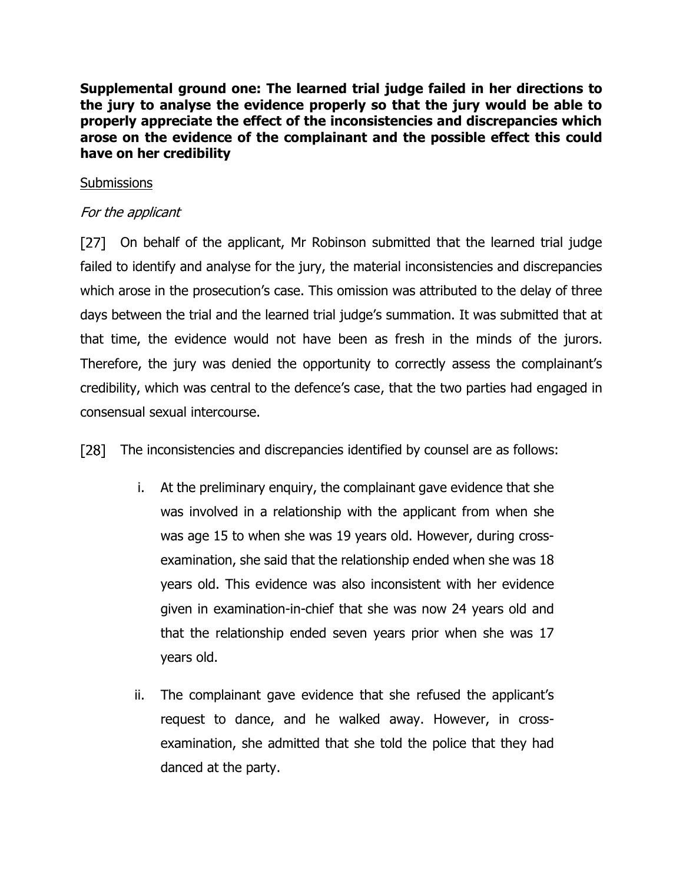**Supplemental ground one: The learned trial judge failed in her directions to the jury to analyse the evidence properly so that the jury would be able to properly appreciate the effect of the inconsistencies and discrepancies which arose on the evidence of the complainant and the possible effect this could have on her credibility**

### **Submissions**

## For the applicant

[27] On behalf of the applicant, Mr Robinson submitted that the learned trial judge failed to identify and analyse for the jury, the material inconsistencies and discrepancies which arose in the prosecution's case. This omission was attributed to the delay of three days between the trial and the learned trial judge's summation. It was submitted that at that time, the evidence would not have been as fresh in the minds of the jurors. Therefore, the jury was denied the opportunity to correctly assess the complainant's credibility, which was central to the defence's case, that the two parties had engaged in consensual sexual intercourse.

[28] The inconsistencies and discrepancies identified by counsel are as follows:

- i. At the preliminary enquiry, the complainant gave evidence that she was involved in a relationship with the applicant from when she was age 15 to when she was 19 years old. However, during crossexamination, she said that the relationship ended when she was 18 years old. This evidence was also inconsistent with her evidence given in examination-in-chief that she was now 24 years old and that the relationship ended seven years prior when she was 17 years old.
- ii. The complainant gave evidence that she refused the applicant's request to dance, and he walked away. However, in crossexamination, she admitted that she told the police that they had danced at the party.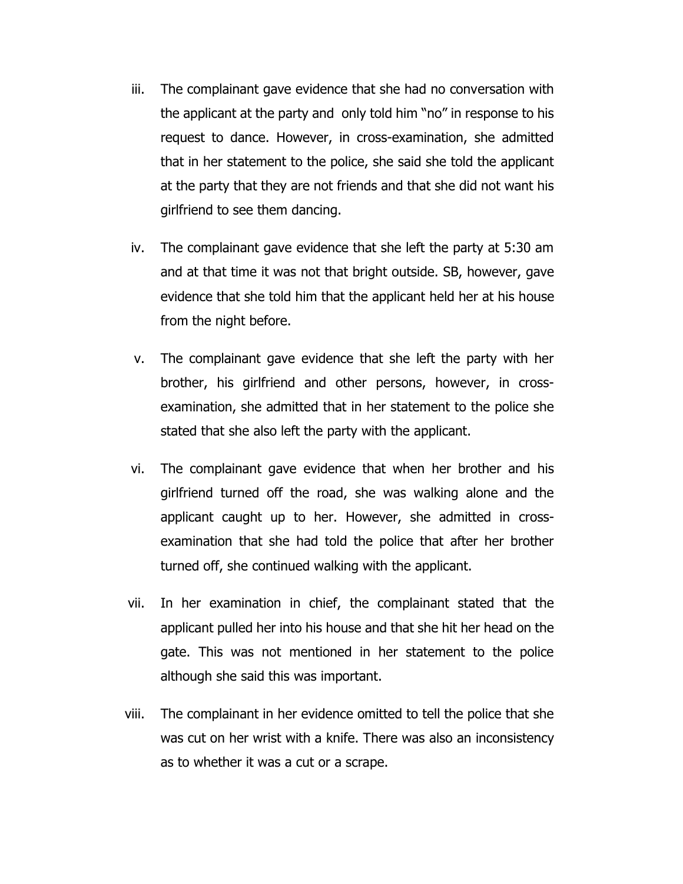- iii. The complainant gave evidence that she had no conversation with the applicant at the party and only told him "no" in response to his request to dance. However, in cross-examination, she admitted that in her statement to the police, she said she told the applicant at the party that they are not friends and that she did not want his girlfriend to see them dancing.
- iv. The complainant gave evidence that she left the party at 5:30 am and at that time it was not that bright outside. SB, however, gave evidence that she told him that the applicant held her at his house from the night before.
- v. The complainant gave evidence that she left the party with her brother, his girlfriend and other persons, however, in crossexamination, she admitted that in her statement to the police she stated that she also left the party with the applicant.
- vi. The complainant gave evidence that when her brother and his girlfriend turned off the road, she was walking alone and the applicant caught up to her. However, she admitted in crossexamination that she had told the police that after her brother turned off, she continued walking with the applicant.
- vii. In her examination in chief, the complainant stated that the applicant pulled her into his house and that she hit her head on the gate. This was not mentioned in her statement to the police although she said this was important.
- viii. The complainant in her evidence omitted to tell the police that she was cut on her wrist with a knife. There was also an inconsistency as to whether it was a cut or a scrape.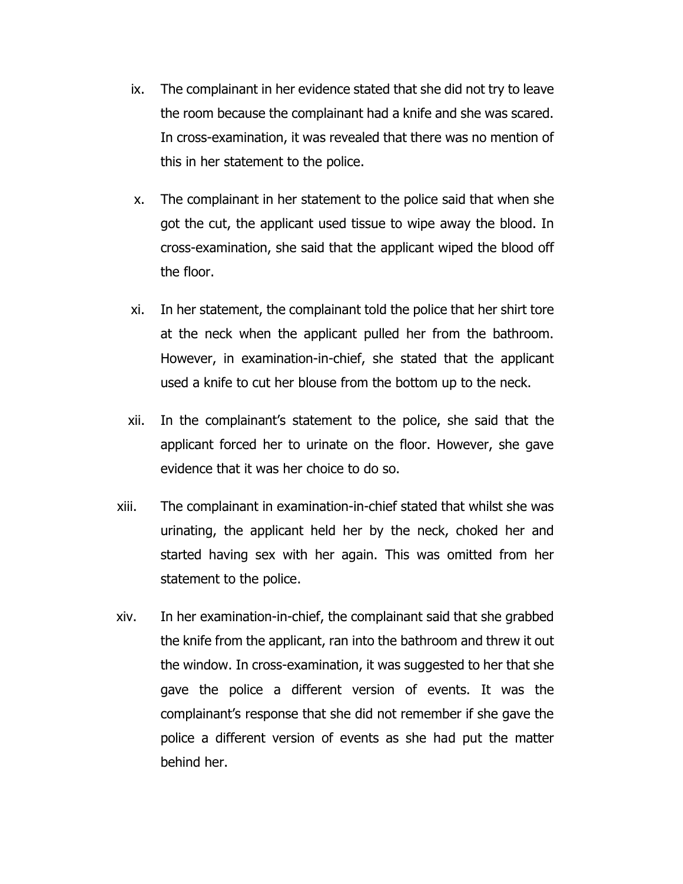- ix. The complainant in her evidence stated that she did not try to leave the room because the complainant had a knife and she was scared. In cross-examination, it was revealed that there was no mention of this in her statement to the police.
- x. The complainant in her statement to the police said that when she got the cut, the applicant used tissue to wipe away the blood. In cross-examination, she said that the applicant wiped the blood off the floor.
- xi. In her statement, the complainant told the police that her shirt tore at the neck when the applicant pulled her from the bathroom. However, in examination-in-chief, she stated that the applicant used a knife to cut her blouse from the bottom up to the neck.
- xii. In the complainant's statement to the police, she said that the applicant forced her to urinate on the floor. However, she gave evidence that it was her choice to do so.
- xiii. The complainant in examination-in-chief stated that whilst she was urinating, the applicant held her by the neck, choked her and started having sex with her again. This was omitted from her statement to the police.
- xiv. In her examination-in-chief, the complainant said that she grabbed the knife from the applicant, ran into the bathroom and threw it out the window. In cross-examination, it was suggested to her that she gave the police a different version of events. It was the complainant's response that she did not remember if she gave the police a different version of events as she had put the matter behind her.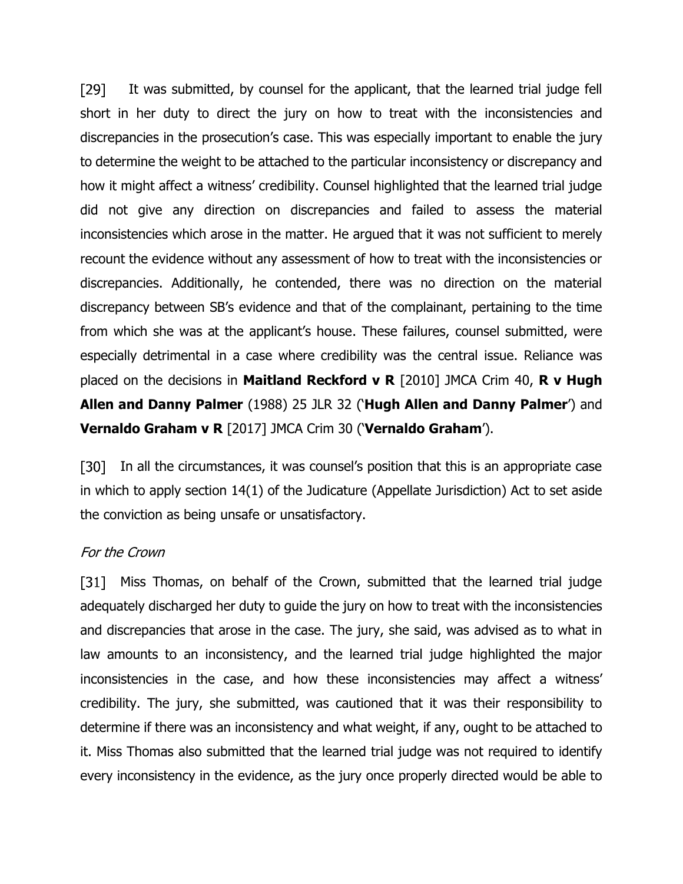[29] It was submitted, by counsel for the applicant, that the learned trial judge fell short in her duty to direct the jury on how to treat with the inconsistencies and discrepancies in the prosecution's case. This was especially important to enable the jury to determine the weight to be attached to the particular inconsistency or discrepancy and how it might affect a witness' credibility. Counsel highlighted that the learned trial judge did not give any direction on discrepancies and failed to assess the material inconsistencies which arose in the matter. He argued that it was not sufficient to merely recount the evidence without any assessment of how to treat with the inconsistencies or discrepancies. Additionally, he contended, there was no direction on the material discrepancy between SB's evidence and that of the complainant, pertaining to the time from which she was at the applicant's house. These failures, counsel submitted, were especially detrimental in a case where credibility was the central issue. Reliance was placed on the decisions in **Maitland Reckford v R** [2010] JMCA Crim 40, **R v Hugh Allen and Danny Palmer** (1988) 25 JLR 32 ('**Hugh Allen and Danny Palmer**') and **Vernaldo Graham v R** [2017] JMCA Crim 30 ('**Vernaldo Graham**').

In all the circumstances, it was counsel's position that this is an appropriate case [30] in which to apply section 14(1) of the Judicature (Appellate Jurisdiction) Act to set aside the conviction as being unsafe or unsatisfactory.

## For the Crown

[31] Miss Thomas, on behalf of the Crown, submitted that the learned trial judge adequately discharged her duty to guide the jury on how to treat with the inconsistencies and discrepancies that arose in the case. The jury, she said, was advised as to what in law amounts to an inconsistency, and the learned trial judge highlighted the major inconsistencies in the case, and how these inconsistencies may affect a witness' credibility. The jury, she submitted, was cautioned that it was their responsibility to determine if there was an inconsistency and what weight, if any, ought to be attached to it. Miss Thomas also submitted that the learned trial judge was not required to identify every inconsistency in the evidence, as the jury once properly directed would be able to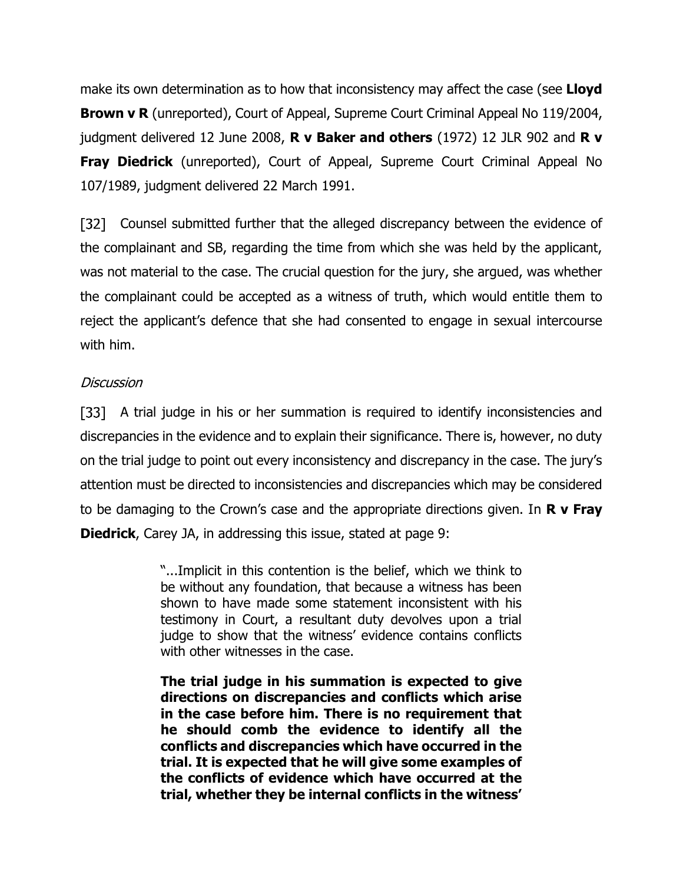make its own determination as to how that inconsistency may affect the case (see **Lloyd Brown v R** (unreported), Court of Appeal, Supreme Court Criminal Appeal No 119/2004, judgment delivered 12 June 2008, **R v Baker and others** (1972) 12 JLR 902 and **R v Fray Diedrick** (unreported), Court of Appeal, Supreme Court Criminal Appeal No 107/1989, judgment delivered 22 March 1991.

[32] Counsel submitted further that the alleged discrepancy between the evidence of the complainant and SB, regarding the time from which she was held by the applicant, was not material to the case. The crucial question for the jury, she argued, was whether the complainant could be accepted as a witness of truth, which would entitle them to reject the applicant's defence that she had consented to engage in sexual intercourse with him.

## Discussion

[33] A trial judge in his or her summation is required to identify inconsistencies and discrepancies in the evidence and to explain their significance. There is, however, no duty on the trial judge to point out every inconsistency and discrepancy in the case. The jury's attention must be directed to inconsistencies and discrepancies which may be considered to be damaging to the Crown's case and the appropriate directions given. In **R v Fray Diedrick**, Carey JA, in addressing this issue, stated at page 9:

> "...Implicit in this contention is the belief, which we think to be without any foundation, that because a witness has been shown to have made some statement inconsistent with his testimony in Court, a resultant duty devolves upon a trial judge to show that the witness' evidence contains conflicts with other witnesses in the case.

> **The trial judge in his summation is expected to give directions on discrepancies and conflicts which arise in the case before him. There is no requirement that he should comb the evidence to identify all the conflicts and discrepancies which have occurred in the trial. It is expected that he will give some examples of the conflicts of evidence which have occurred at the trial, whether they be internal conflicts in the witness'**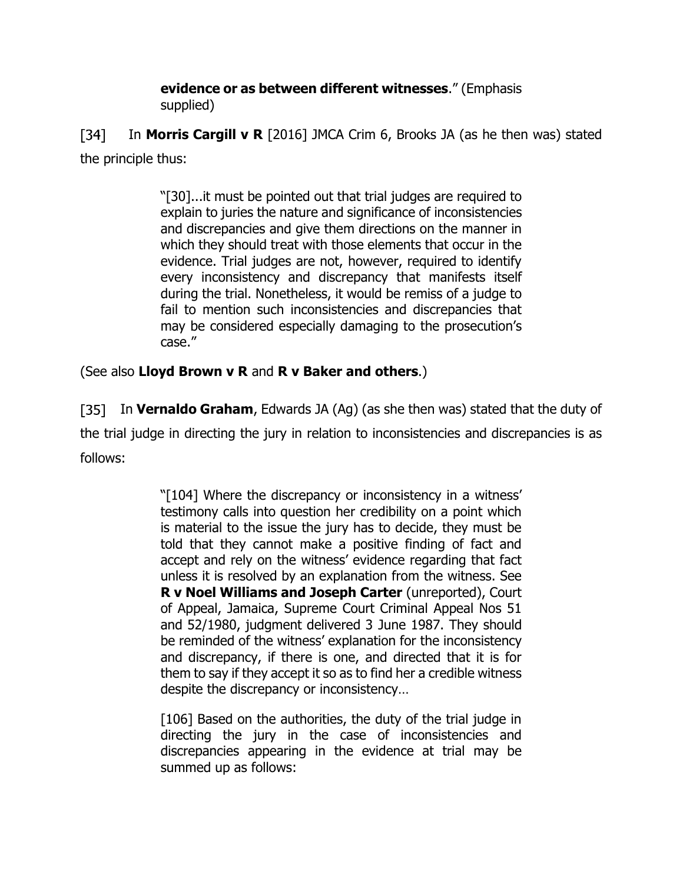### **evidence or as between different witnesses**." (Emphasis supplied)

 $[34]$  In **Morris Cargill v R** [2016] JMCA Crim 6, Brooks JA (as he then was) stated the principle thus:

> "[30]...it must be pointed out that trial judges are required to explain to juries the nature and significance of inconsistencies and discrepancies and give them directions on the manner in which they should treat with those elements that occur in the evidence. Trial judges are not, however, required to identify every inconsistency and discrepancy that manifests itself during the trial. Nonetheless, it would be remiss of a judge to fail to mention such inconsistencies and discrepancies that may be considered especially damaging to the prosecution's case."

(See also **Lloyd Brown v R** and **R v Baker and others**.)

In **Vernaldo Graham**, Edwards JA (Ag) (as she then was) stated that the duty of the trial judge in directing the jury in relation to inconsistencies and discrepancies is as follows:

> "[104] Where the discrepancy or inconsistency in a witness' testimony calls into question her credibility on a point which is material to the issue the jury has to decide, they must be told that they cannot make a positive finding of fact and accept and rely on the witness' evidence regarding that fact unless it is resolved by an explanation from the witness. See **R v Noel Williams and Joseph Carter** (unreported), Court of Appeal, Jamaica, Supreme Court Criminal Appeal Nos 51 and 52/1980, judgment delivered 3 June 1987. They should be reminded of the witness' explanation for the inconsistency and discrepancy, if there is one, and directed that it is for them to say if they accept it so as to find her a credible witness despite the discrepancy or inconsistency…

> [106] Based on the authorities, the duty of the trial judge in directing the jury in the case of inconsistencies and discrepancies appearing in the evidence at trial may be summed up as follows: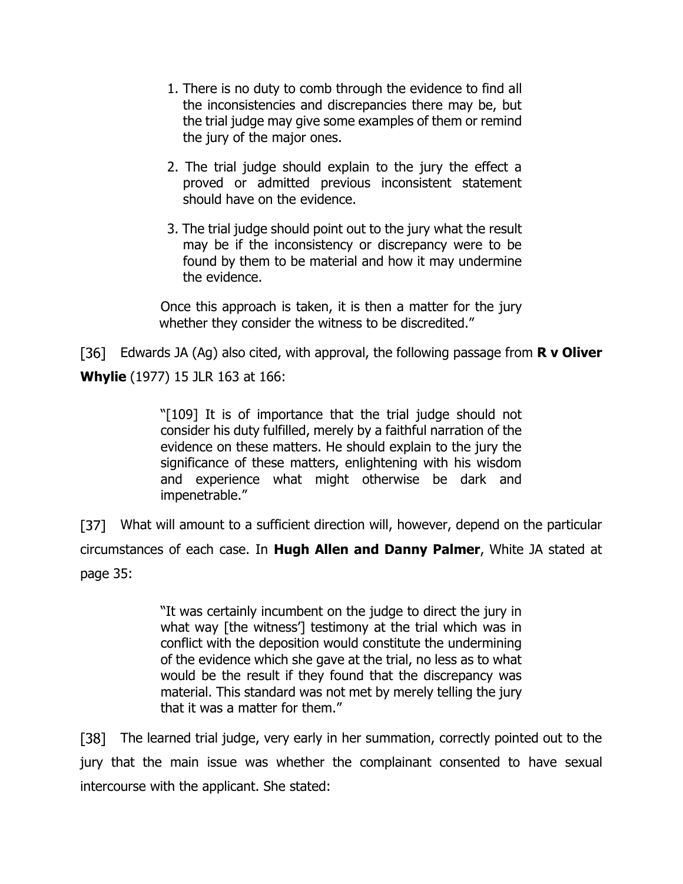- 1. There is no duty to comb through the evidence to find all the inconsistencies and discrepancies there may be, but the trial judge may give some examples of them or remind the jury of the major ones.
- 2. The trial judge should explain to the jury the effect a proved or admitted previous inconsistent statement should have on the evidence.
- 3. The trial judge should point out to the jury what the result may be if the inconsistency or discrepancy were to be found by them to be material and how it may undermine the evidence.

Once this approach is taken, it is then a matter for the jury whether they consider the witness to be discredited."

Edwards JA (Ag) also cited, with approval, the following passage from **R v Oliver Whylie** (1977) 15 JLR 163 at 166:

> "[109] It is of importance that the trial judge should not consider his duty fulfilled, merely by a faithful narration of the evidence on these matters. He should explain to the jury the significance of these matters, enlightening with his wisdom and experience what might otherwise be dark and impenetrable."

[37] What will amount to a sufficient direction will, however, depend on the particular circumstances of each case. In **Hugh Allen and Danny Palmer**, White JA stated at page 35:

> "It was certainly incumbent on the judge to direct the jury in what way [the witness'] testimony at the trial which was in conflict with the deposition would constitute the undermining of the evidence which she gave at the trial, no less as to what would be the result if they found that the discrepancy was material. This standard was not met by merely telling the jury that it was a matter for them."

[38] The learned trial judge, very early in her summation, correctly pointed out to the jury that the main issue was whether the complainant consented to have sexual intercourse with the applicant. She stated: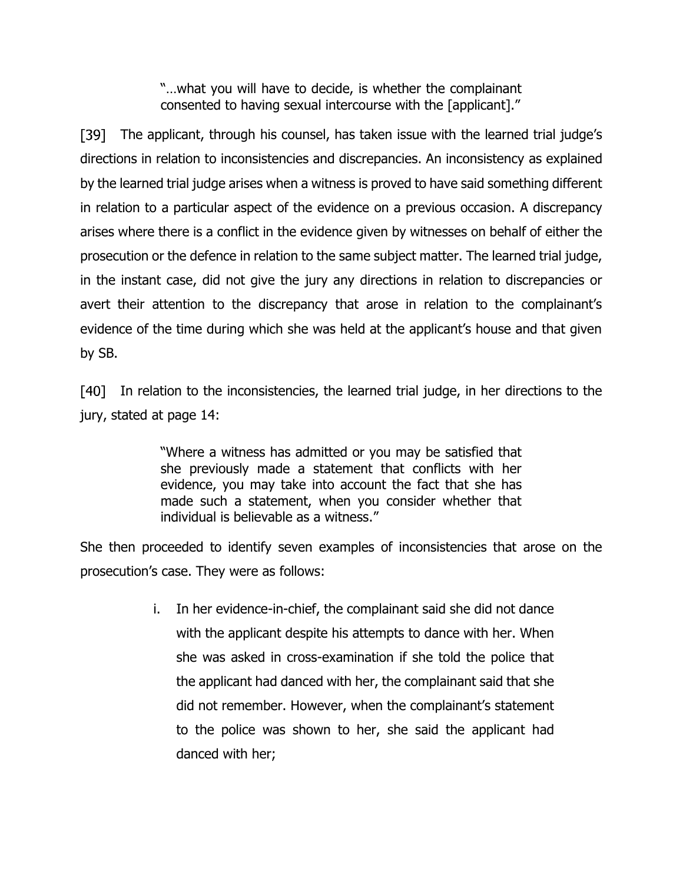"…what you will have to decide, is whether the complainant consented to having sexual intercourse with the [applicant]."

[39] The applicant, through his counsel, has taken issue with the learned trial judge's directions in relation to inconsistencies and discrepancies. An inconsistency as explained by the learned trial judge arises when a witness is proved to have said something different in relation to a particular aspect of the evidence on a previous occasion. A discrepancy arises where there is a conflict in the evidence given by witnesses on behalf of either the prosecution or the defence in relation to the same subject matter. The learned trial judge, in the instant case, did not give the jury any directions in relation to discrepancies or avert their attention to the discrepancy that arose in relation to the complainant's evidence of the time during which she was held at the applicant's house and that given by SB.

[40] In relation to the inconsistencies, the learned trial judge, in her directions to the jury, stated at page 14:

> "Where a witness has admitted or you may be satisfied that she previously made a statement that conflicts with her evidence, you may take into account the fact that she has made such a statement, when you consider whether that individual is believable as a witness."

She then proceeded to identify seven examples of inconsistencies that arose on the prosecution's case. They were as follows:

> i. In her evidence-in-chief, the complainant said she did not dance with the applicant despite his attempts to dance with her. When she was asked in cross-examination if she told the police that the applicant had danced with her, the complainant said that she did not remember. However, when the complainant's statement to the police was shown to her, she said the applicant had danced with her;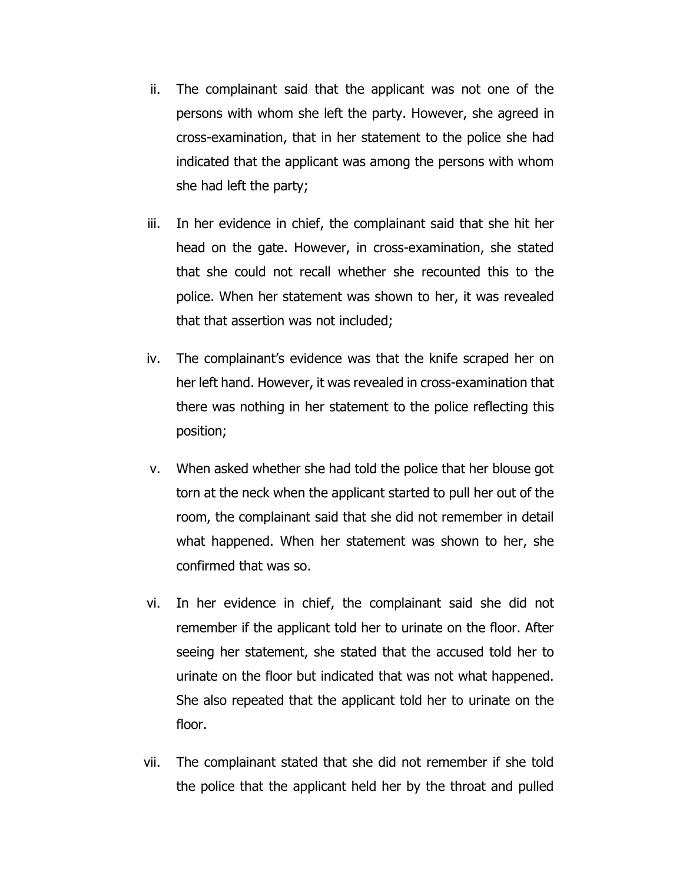- ii. The complainant said that the applicant was not one of the persons with whom she left the party. However, she agreed in cross-examination, that in her statement to the police she had indicated that the applicant was among the persons with whom she had left the party;
- iii. In her evidence in chief, the complainant said that she hit her head on the gate. However, in cross-examination, she stated that she could not recall whether she recounted this to the police. When her statement was shown to her, it was revealed that that assertion was not included;
- iv. The complainant's evidence was that the knife scraped her on her left hand. However, it was revealed in cross-examination that there was nothing in her statement to the police reflecting this position;
- v. When asked whether she had told the police that her blouse got torn at the neck when the applicant started to pull her out of the room, the complainant said that she did not remember in detail what happened. When her statement was shown to her, she confirmed that was so.
- vi. In her evidence in chief, the complainant said she did not remember if the applicant told her to urinate on the floor. After seeing her statement, she stated that the accused told her to urinate on the floor but indicated that was not what happened. She also repeated that the applicant told her to urinate on the floor.
- vii. The complainant stated that she did not remember if she told the police that the applicant held her by the throat and pulled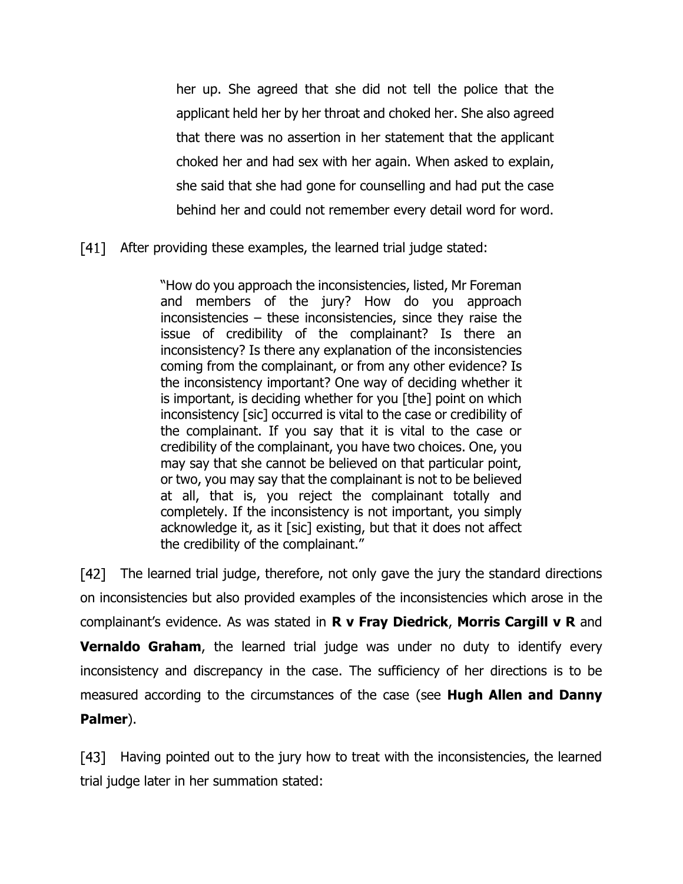her up. She agreed that she did not tell the police that the applicant held her by her throat and choked her. She also agreed that there was no assertion in her statement that the applicant choked her and had sex with her again. When asked to explain, she said that she had gone for counselling and had put the case behind her and could not remember every detail word for word.

[41] After providing these examples, the learned trial judge stated:

"How do you approach the inconsistencies, listed, Mr Foreman and members of the jury? How do you approach inconsistencies – these inconsistencies, since they raise the issue of credibility of the complainant? Is there an inconsistency? Is there any explanation of the inconsistencies coming from the complainant, or from any other evidence? Is the inconsistency important? One way of deciding whether it is important, is deciding whether for you [the] point on which inconsistency [sic] occurred is vital to the case or credibility of the complainant. If you say that it is vital to the case or credibility of the complainant, you have two choices. One, you may say that she cannot be believed on that particular point, or two, you may say that the complainant is not to be believed at all, that is, you reject the complainant totally and completely. If the inconsistency is not important, you simply acknowledge it, as it [sic] existing, but that it does not affect the credibility of the complainant."

The learned trial judge, therefore, not only gave the jury the standard directions on inconsistencies but also provided examples of the inconsistencies which arose in the complainant's evidence. As was stated in **R v Fray Diedrick**, **Morris Cargill v R** and **Vernaldo Graham**, the learned trial judge was under no duty to identify every inconsistency and discrepancy in the case. The sufficiency of her directions is to be measured according to the circumstances of the case (see **Hugh Allen and Danny Palmer**).

[43] Having pointed out to the jury how to treat with the inconsistencies, the learned trial judge later in her summation stated: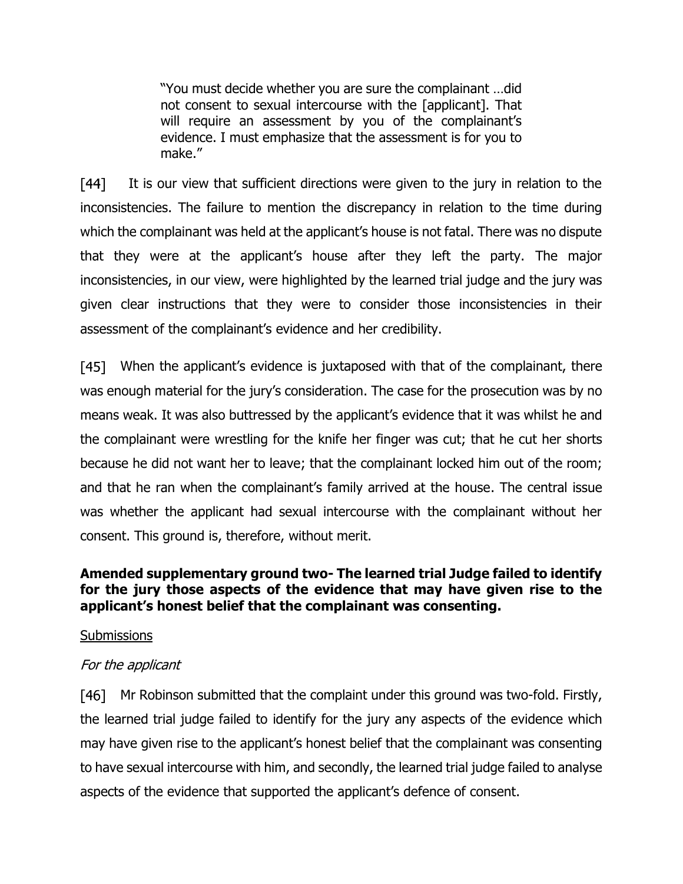"You must decide whether you are sure the complainant …did not consent to sexual intercourse with the [applicant]. That will require an assessment by you of the complainant's evidence. I must emphasize that the assessment is for you to make."

 $[44]$  It is our view that sufficient directions were given to the jury in relation to the inconsistencies. The failure to mention the discrepancy in relation to the time during which the complainant was held at the applicant's house is not fatal. There was no dispute that they were at the applicant's house after they left the party. The major inconsistencies, in our view, were highlighted by the learned trial judge and the jury was given clear instructions that they were to consider those inconsistencies in their assessment of the complainant's evidence and her credibility.

[45] When the applicant's evidence is juxtaposed with that of the complainant, there was enough material for the jury's consideration. The case for the prosecution was by no means weak. It was also buttressed by the applicant's evidence that it was whilst he and the complainant were wrestling for the knife her finger was cut; that he cut her shorts because he did not want her to leave; that the complainant locked him out of the room; and that he ran when the complainant's family arrived at the house. The central issue was whether the applicant had sexual intercourse with the complainant without her consent. This ground is, therefore, without merit.

## **Amended supplementary ground two- The learned trial Judge failed to identify for the jury those aspects of the evidence that may have given rise to the applicant's honest belief that the complainant was consenting.**

## **Submissions**

# For the applicant

[46] Mr Robinson submitted that the complaint under this ground was two-fold. Firstly, the learned trial judge failed to identify for the jury any aspects of the evidence which may have given rise to the applicant's honest belief that the complainant was consenting to have sexual intercourse with him, and secondly, the learned trial judge failed to analyse aspects of the evidence that supported the applicant's defence of consent.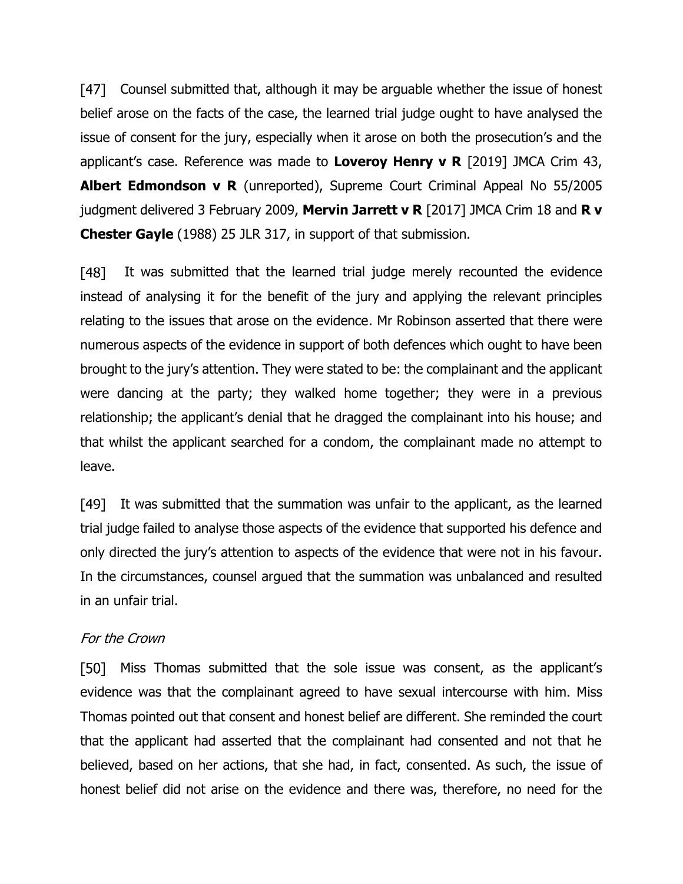[47] Counsel submitted that, although it may be arguable whether the issue of honest belief arose on the facts of the case, the learned trial judge ought to have analysed the issue of consent for the jury, especially when it arose on both the prosecution's and the applicant's case. Reference was made to **Loveroy Henry v R** [2019] JMCA Crim 43, **Albert Edmondson v R** (unreported), Supreme Court Criminal Appeal No 55/2005 judgment delivered 3 February 2009, **Mervin Jarrett v R** [2017] JMCA Crim 18 and **R v Chester Gayle** (1988) 25 JLR 317, in support of that submission.

 $[48]$ It was submitted that the learned trial judge merely recounted the evidence instead of analysing it for the benefit of the jury and applying the relevant principles relating to the issues that arose on the evidence. Mr Robinson asserted that there were numerous aspects of the evidence in support of both defences which ought to have been brought to the jury's attention. They were stated to be: the complainant and the applicant were dancing at the party; they walked home together; they were in a previous relationship; the applicant's denial that he dragged the complainant into his house; and that whilst the applicant searched for a condom, the complainant made no attempt to leave.

It was submitted that the summation was unfair to the applicant, as the learned [49] trial judge failed to analyse those aspects of the evidence that supported his defence and only directed the jury's attention to aspects of the evidence that were not in his favour. In the circumstances, counsel argued that the summation was unbalanced and resulted in an unfair trial.

## For the Crown

[50] Miss Thomas submitted that the sole issue was consent, as the applicant's evidence was that the complainant agreed to have sexual intercourse with him. Miss Thomas pointed out that consent and honest belief are different. She reminded the court that the applicant had asserted that the complainant had consented and not that he believed, based on her actions, that she had, in fact, consented. As such, the issue of honest belief did not arise on the evidence and there was, therefore, no need for the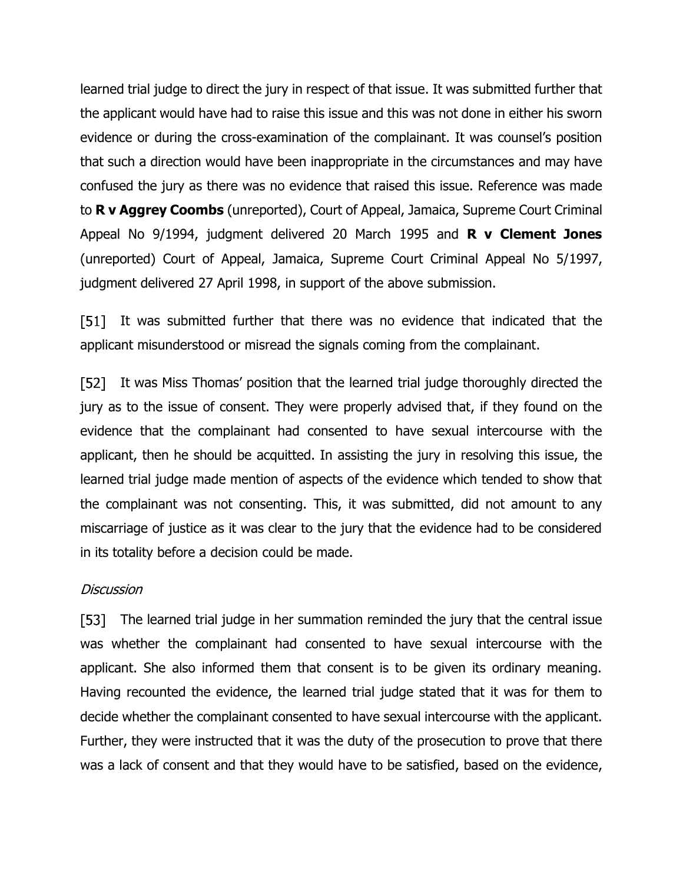learned trial judge to direct the jury in respect of that issue. It was submitted further that the applicant would have had to raise this issue and this was not done in either his sworn evidence or during the cross-examination of the complainant. It was counsel's position that such a direction would have been inappropriate in the circumstances and may have confused the jury as there was no evidence that raised this issue. Reference was made to **R v Aggrey Coombs** (unreported), Court of Appeal, Jamaica, Supreme Court Criminal Appeal No 9/1994, judgment delivered 20 March 1995 and **R v Clement Jones** (unreported) Court of Appeal, Jamaica, Supreme Court Criminal Appeal No 5/1997, judgment delivered 27 April 1998, in support of the above submission.

[51] It was submitted further that there was no evidence that indicated that the applicant misunderstood or misread the signals coming from the complainant.

It was Miss Thomas' position that the learned trial judge thoroughly directed the jury as to the issue of consent. They were properly advised that, if they found on the evidence that the complainant had consented to have sexual intercourse with the applicant, then he should be acquitted. In assisting the jury in resolving this issue, the learned trial judge made mention of aspects of the evidence which tended to show that the complainant was not consenting. This, it was submitted, did not amount to any miscarriage of justice as it was clear to the jury that the evidence had to be considered in its totality before a decision could be made.

### **Discussion**

The learned trial judge in her summation reminded the jury that the central issue  $[53]$ was whether the complainant had consented to have sexual intercourse with the applicant. She also informed them that consent is to be given its ordinary meaning. Having recounted the evidence, the learned trial judge stated that it was for them to decide whether the complainant consented to have sexual intercourse with the applicant. Further, they were instructed that it was the duty of the prosecution to prove that there was a lack of consent and that they would have to be satisfied, based on the evidence,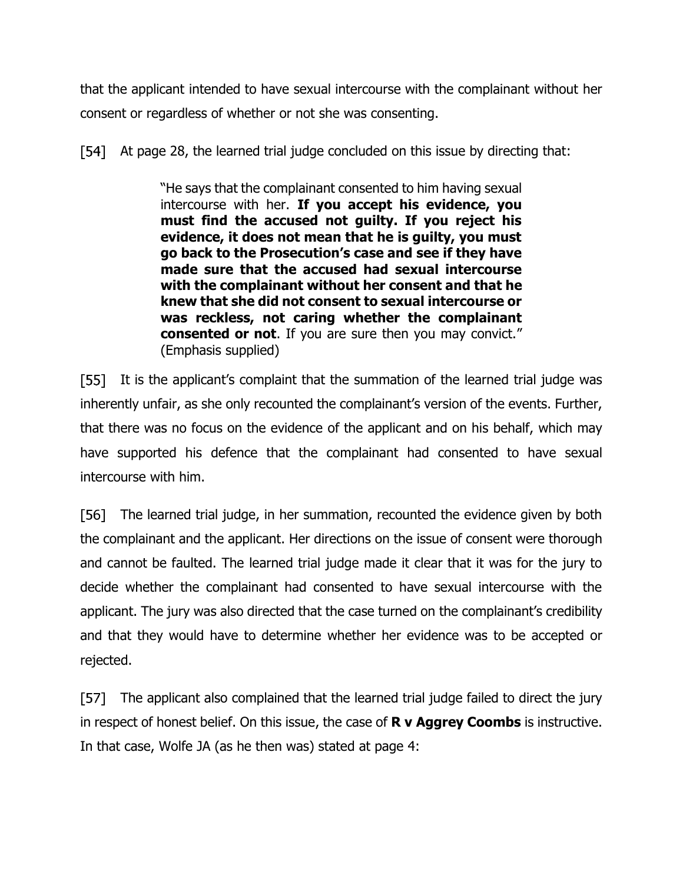that the applicant intended to have sexual intercourse with the complainant without her consent or regardless of whether or not she was consenting.

[54] At page 28, the learned trial judge concluded on this issue by directing that:

> "He says that the complainant consented to him having sexual intercourse with her. **If you accept his evidence, you must find the accused not guilty. If you reject his evidence, it does not mean that he is guilty, you must go back to the Prosecution's case and see if they have made sure that the accused had sexual intercourse with the complainant without her consent and that he knew that she did not consent to sexual intercourse or was reckless, not caring whether the complainant consented or not**. If you are sure then you may convict." (Emphasis supplied)

[55] It is the applicant's complaint that the summation of the learned trial judge was inherently unfair, as she only recounted the complainant's version of the events. Further, that there was no focus on the evidence of the applicant and on his behalf, which may have supported his defence that the complainant had consented to have sexual intercourse with him.

F561 I The learned trial judge, in her summation, recounted the evidence given by both the complainant and the applicant. Her directions on the issue of consent were thorough and cannot be faulted. The learned trial judge made it clear that it was for the jury to decide whether the complainant had consented to have sexual intercourse with the applicant. The jury was also directed that the case turned on the complainant's credibility and that they would have to determine whether her evidence was to be accepted or rejected.

[57] The applicant also complained that the learned trial judge failed to direct the jury in respect of honest belief. On this issue, the case of **R v Aggrey Coombs** is instructive. In that case, Wolfe JA (as he then was) stated at page 4: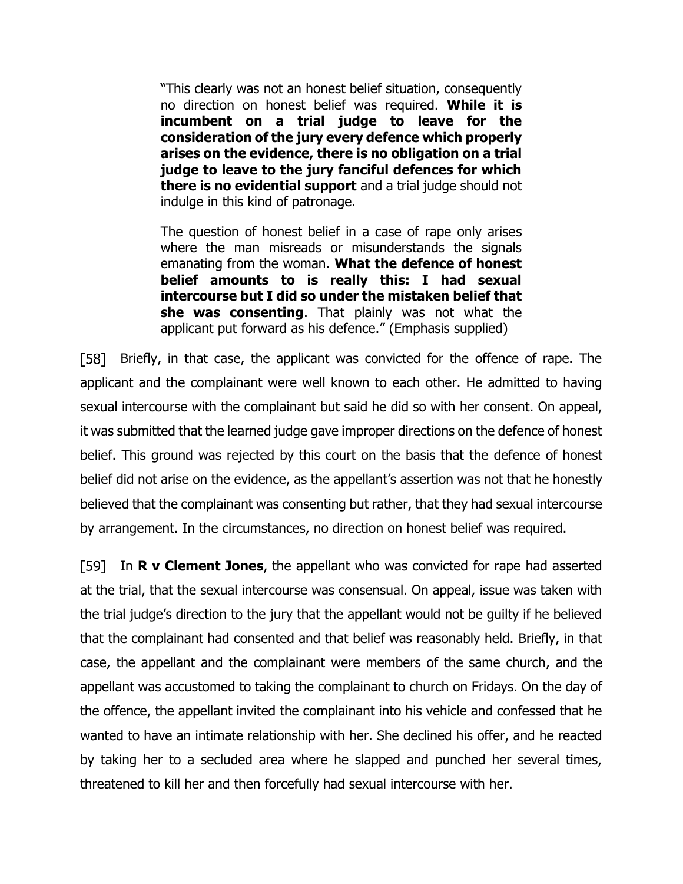"This clearly was not an honest belief situation, consequently no direction on honest belief was required. **While it is incumbent on a trial judge to leave for the consideration of the jury every defence which properly arises on the evidence, there is no obligation on a trial judge to leave to the jury fanciful defences for which there is no evidential support** and a trial judge should not indulge in this kind of patronage.

The question of honest belief in a case of rape only arises where the man misreads or misunderstands the signals emanating from the woman. **What the defence of honest belief amounts to is really this: I had sexual intercourse but I did so under the mistaken belief that she was consenting**. That plainly was not what the applicant put forward as his defence." (Emphasis supplied)

[58] Briefly, in that case, the applicant was convicted for the offence of rape. The applicant and the complainant were well known to each other. He admitted to having sexual intercourse with the complainant but said he did so with her consent. On appeal, it was submitted that the learned judge gave improper directions on the defence of honest belief. This ground was rejected by this court on the basis that the defence of honest belief did not arise on the evidence, as the appellant's assertion was not that he honestly believed that the complainant was consenting but rather, that they had sexual intercourse by arrangement. In the circumstances, no direction on honest belief was required.

In **R v Clement Jones**, the appellant who was convicted for rape had asserted at the trial, that the sexual intercourse was consensual. On appeal, issue was taken with the trial judge's direction to the jury that the appellant would not be guilty if he believed that the complainant had consented and that belief was reasonably held. Briefly, in that case, the appellant and the complainant were members of the same church, and the appellant was accustomed to taking the complainant to church on Fridays. On the day of the offence, the appellant invited the complainant into his vehicle and confessed that he wanted to have an intimate relationship with her. She declined his offer, and he reacted by taking her to a secluded area where he slapped and punched her several times, threatened to kill her and then forcefully had sexual intercourse with her.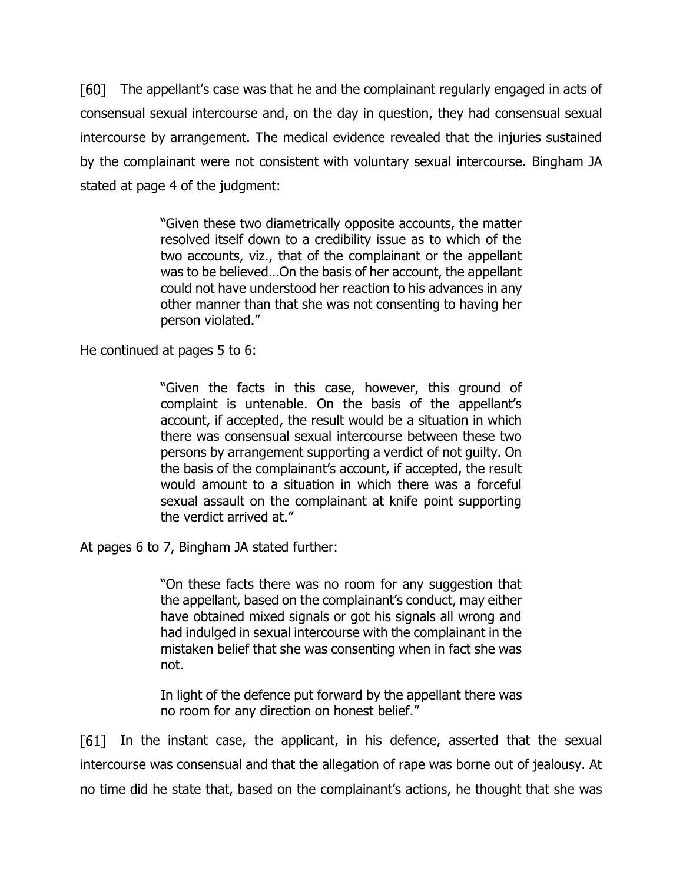F601 I The appellant's case was that he and the complainant regularly engaged in acts of consensual sexual intercourse and, on the day in question, they had consensual sexual intercourse by arrangement. The medical evidence revealed that the injuries sustained by the complainant were not consistent with voluntary sexual intercourse. Bingham JA stated at page 4 of the judgment:

> "Given these two diametrically opposite accounts, the matter resolved itself down to a credibility issue as to which of the two accounts, viz., that of the complainant or the appellant was to be believed…On the basis of her account, the appellant could not have understood her reaction to his advances in any other manner than that she was not consenting to having her person violated."

He continued at pages 5 to 6:

"Given the facts in this case, however, this ground of complaint is untenable. On the basis of the appellant's account, if accepted, the result would be a situation in which there was consensual sexual intercourse between these two persons by arrangement supporting a verdict of not guilty. On the basis of the complainant's account, if accepted, the result would amount to a situation in which there was a forceful sexual assault on the complainant at knife point supporting the verdict arrived at."

At pages 6 to 7, Bingham JA stated further:

"On these facts there was no room for any suggestion that the appellant, based on the complainant's conduct, may either have obtained mixed signals or got his signals all wrong and had indulged in sexual intercourse with the complainant in the mistaken belief that she was consenting when in fact she was not.

In light of the defence put forward by the appellant there was no room for any direction on honest belief."

[61] In the instant case, the applicant, in his defence, asserted that the sexual intercourse was consensual and that the allegation of rape was borne out of jealousy. At no time did he state that, based on the complainant's actions, he thought that she was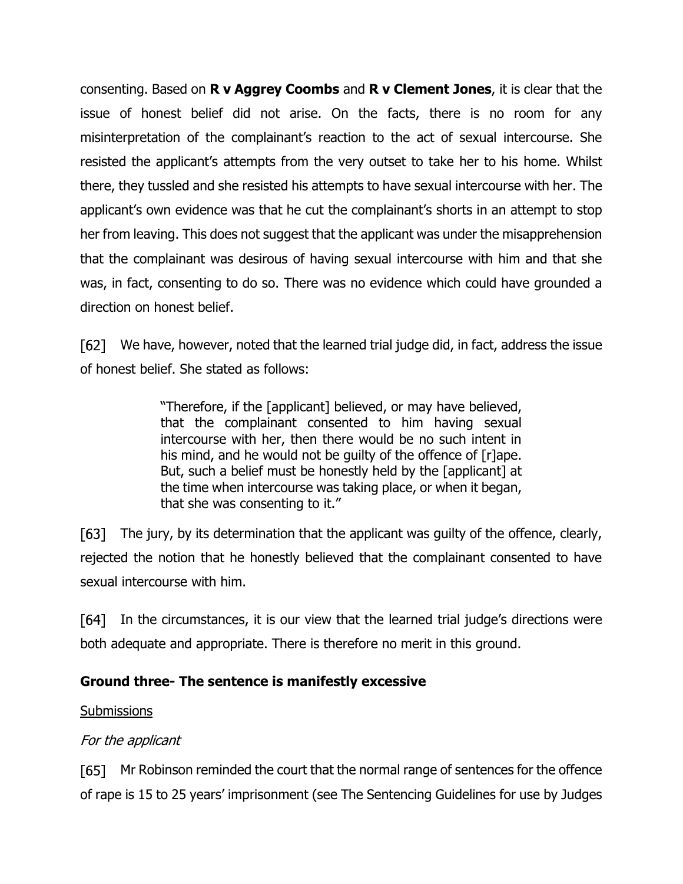consenting. Based on **R v Aggrey Coombs** and **R v Clement Jones**, it is clear that the issue of honest belief did not arise. On the facts, there is no room for any misinterpretation of the complainant's reaction to the act of sexual intercourse. She resisted the applicant's attempts from the very outset to take her to his home. Whilst there, they tussled and she resisted his attempts to have sexual intercourse with her. The applicant's own evidence was that he cut the complainant's shorts in an attempt to stop her from leaving. This does not suggest that the applicant was under the misapprehension that the complainant was desirous of having sexual intercourse with him and that she was, in fact, consenting to do so. There was no evidence which could have grounded a direction on honest belief.

[62] We have, however, noted that the learned trial judge did, in fact, address the issue of honest belief. She stated as follows:

> "Therefore, if the [applicant] believed, or may have believed, that the complainant consented to him having sexual intercourse with her, then there would be no such intent in his mind, and he would not be quilty of the offence of [r]ape. But, such a belief must be honestly held by the [applicant] at the time when intercourse was taking place, or when it began, that she was consenting to it."

[63] The jury, by its determination that the applicant was guilty of the offence, clearly, rejected the notion that he honestly believed that the complainant consented to have sexual intercourse with him.

 $[64]$ In the circumstances, it is our view that the learned trial judge's directions were both adequate and appropriate. There is therefore no merit in this ground.

# **Ground three- The sentence is manifestly excessive**

## **Submissions**

# For the applicant

[65] Mr Robinson reminded the court that the normal range of sentences for the offence of rape is 15 to 25 years' imprisonment (see The Sentencing Guidelines for use by Judges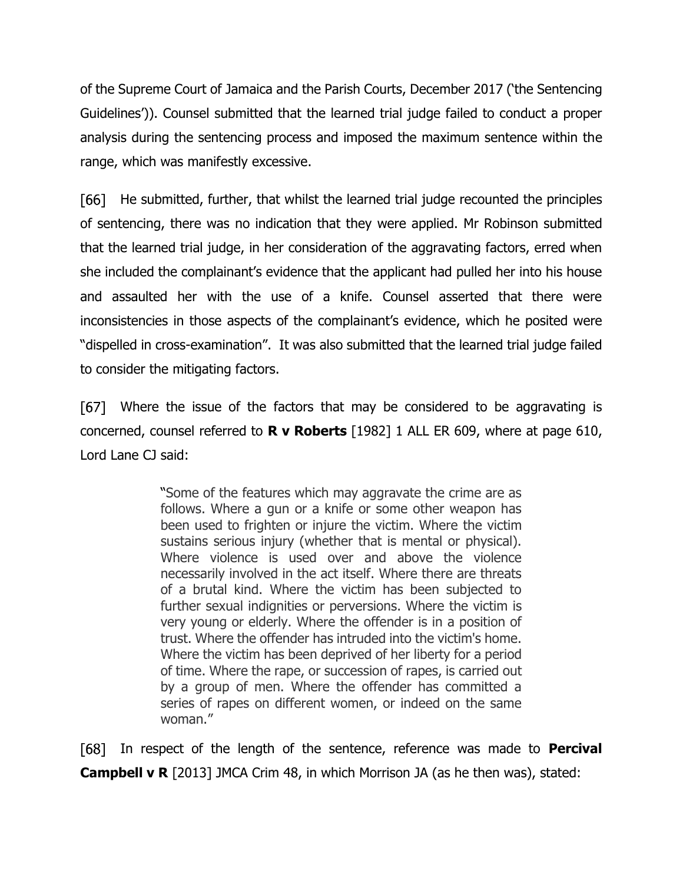of the Supreme Court of Jamaica and the Parish Courts, December 2017 ('the Sentencing Guidelines')). Counsel submitted that the learned trial judge failed to conduct a proper analysis during the sentencing process and imposed the maximum sentence within the range, which was manifestly excessive.

He submitted, further, that whilst the learned trial judge recounted the principles F661 of sentencing, there was no indication that they were applied. Mr Robinson submitted that the learned trial judge, in her consideration of the aggravating factors, erred when she included the complainant's evidence that the applicant had pulled her into his house and assaulted her with the use of a knife. Counsel asserted that there were inconsistencies in those aspects of the complainant's evidence, which he posited were "dispelled in cross-examination". It was also submitted that the learned trial judge failed to consider the mitigating factors.

[67] Where the issue of the factors that may be considered to be aggravating is concerned, counsel referred to **R v Roberts** [1982] 1 ALL ER 609, where at page 610, Lord Lane CJ said:

> "Some of the features which may aggravate the crime are as follows. Where a gun or a knife or some other weapon has been used to frighten or injure the victim. Where the victim sustains serious injury (whether that is mental or physical). Where violence is used over and above the violence necessarily involved in the act itself. Where there are threats of a brutal kind. Where the victim has been subjected to further sexual indignities or perversions. Where the victim is very young or elderly. Where the offender is in a position of trust. Where the offender has intruded into the victim's home. Where the victim has been deprived of her liberty for a period of time. Where the rape, or succession of rapes, is carried out by a group of men. Where the offender has committed a series of rapes on different women, or indeed on the same woman."

F681 I In respect of the length of the sentence, reference was made to **Percival Campbell v R** [2013] JMCA Crim 48, in which Morrison JA (as he then was), stated: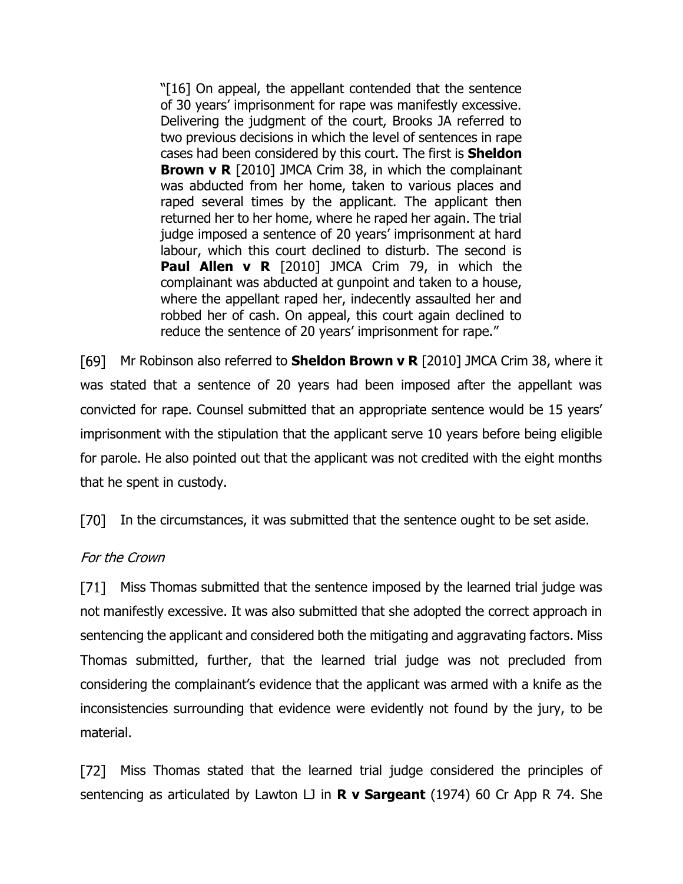"[16] On appeal, the appellant contended that the sentence of 30 years' imprisonment for rape was manifestly excessive. Delivering the judgment of the court, Brooks JA referred to two previous decisions in which the level of sentences in rape cases had been considered by this court. The first is **Sheldon Brown v R** [2010] JMCA Crim 38, in which the complainant was abducted from her home, taken to various places and raped several times by the applicant. The applicant then returned her to her home, where he raped her again. The trial judge imposed a sentence of 20 years' imprisonment at hard labour, which this court declined to disturb. The second is **Paul Allen v R** [2010] JMCA Crim 79, in which the complainant was abducted at gunpoint and taken to a house, where the appellant raped her, indecently assaulted her and robbed her of cash. On appeal, this court again declined to reduce the sentence of 20 years' imprisonment for rape."

Mr Robinson also referred to **Sheldon Brown v R** [2010] JMCA Crim 38, where it was stated that a sentence of 20 years had been imposed after the appellant was convicted for rape. Counsel submitted that an appropriate sentence would be 15 years' imprisonment with the stipulation that the applicant serve 10 years before being eligible for parole. He also pointed out that the applicant was not credited with the eight months that he spent in custody.

[70] In the circumstances, it was submitted that the sentence ought to be set aside.

## For the Crown

[71] Miss Thomas submitted that the sentence imposed by the learned trial judge was not manifestly excessive. It was also submitted that she adopted the correct approach in sentencing the applicant and considered both the mitigating and aggravating factors. Miss Thomas submitted, further, that the learned trial judge was not precluded from considering the complainant's evidence that the applicant was armed with a knife as the inconsistencies surrounding that evidence were evidently not found by the jury, to be material.

Miss Thomas stated that the learned trial judge considered the principles of [72] sentencing as articulated by Lawton LJ in **R v Sargeant** (1974) 60 Cr App R 74. She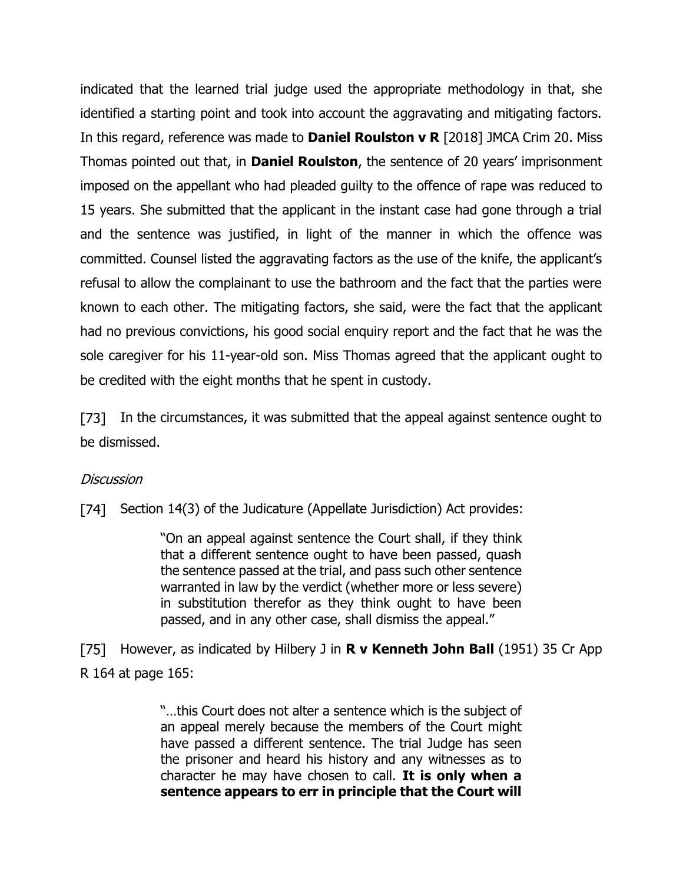indicated that the learned trial judge used the appropriate methodology in that, she identified a starting point and took into account the aggravating and mitigating factors. In this regard, reference was made to **Daniel Roulston v R** [2018] JMCA Crim 20. Miss Thomas pointed out that, in **Daniel Roulston**, the sentence of 20 years' imprisonment imposed on the appellant who had pleaded guilty to the offence of rape was reduced to 15 years. She submitted that the applicant in the instant case had gone through a trial and the sentence was justified, in light of the manner in which the offence was committed. Counsel listed the aggravating factors as the use of the knife, the applicant's refusal to allow the complainant to use the bathroom and the fact that the parties were known to each other. The mitigating factors, she said, were the fact that the applicant had no previous convictions, his good social enquiry report and the fact that he was the sole caregiver for his 11-year-old son. Miss Thomas agreed that the applicant ought to be credited with the eight months that he spent in custody.

[73] In the circumstances, it was submitted that the appeal against sentence ought to be dismissed.

## **Discussion**

[74] Section 14(3) of the Judicature (Appellate Jurisdiction) Act provides:

"On an appeal against sentence the Court shall, if they think that a different sentence ought to have been passed, quash the sentence passed at the trial, and pass such other sentence warranted in law by the verdict (whether more or less severe) in substitution therefor as they think ought to have been passed, and in any other case, shall dismiss the appeal."

[75] However, as indicated by Hilbery J in **R v Kenneth John Ball** (1951) 35 Cr App R 164 at page 165:

> "…this Court does not alter a sentence which is the subject of an appeal merely because the members of the Court might have passed a different sentence. The trial Judge has seen the prisoner and heard his history and any witnesses as to character he may have chosen to call. **It is only when a sentence appears to err in principle that the Court will**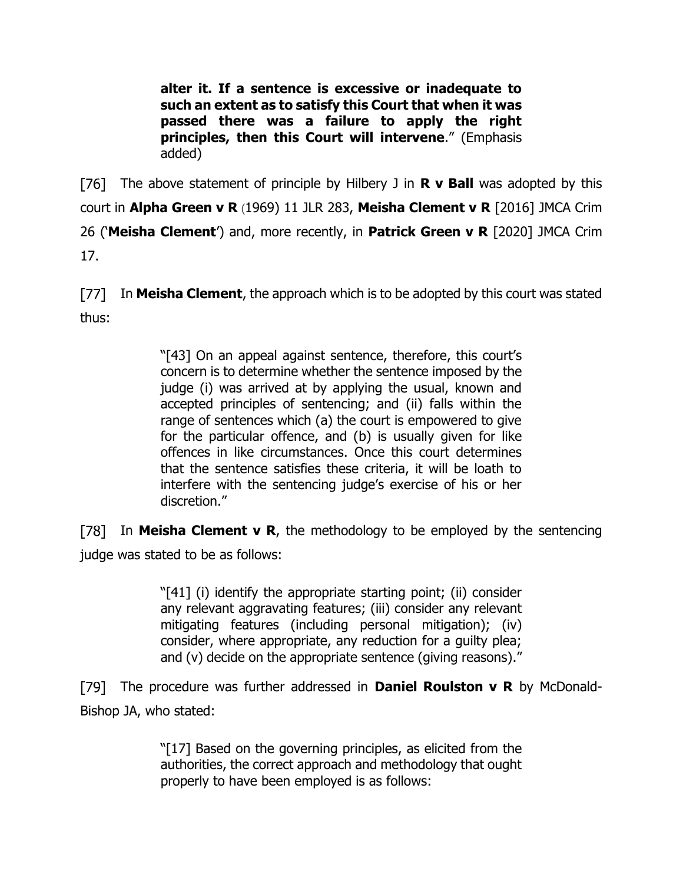**alter it. If a sentence is excessive or inadequate to such an extent as to satisfy this Court that when it was passed there was a failure to apply the right principles, then this Court will intervene**." (Emphasis added)

[76] The above statement of principle by Hilbery J in **R v Ball** was adopted by this court in **Alpha Green v R** (1969) 11 JLR 283, **Meisha Clement v R** [2016] JMCA Crim 26 ('**Meisha Clement**') and, more recently, in **Patrick Green v R** [2020] JMCA Crim 17.

[77] In **Meisha Clement**, the approach which is to be adopted by this court was stated thus:

> "[43] On an appeal against sentence, therefore, this court's concern is to determine whether the sentence imposed by the judge (i) was arrived at by applying the usual, known and accepted principles of sentencing; and (ii) falls within the range of sentences which (a) the court is empowered to give for the particular offence, and (b) is usually given for like offences in like circumstances. Once this court determines that the sentence satisfies these criteria, it will be loath to interfere with the sentencing judge's exercise of his or her discretion."

[78] In **Meisha Clement v R**, the methodology to be employed by the sentencing judge was stated to be as follows:

> "[41] (i) identify the appropriate starting point; (ii) consider any relevant aggravating features; (iii) consider any relevant mitigating features (including personal mitigation); (iv) consider, where appropriate, any reduction for a guilty plea; and (v) decide on the appropriate sentence (giving reasons)."

The procedure was further addressed in **Daniel Roulston v R** by McDonald-Bishop JA, who stated:

> "[17] Based on the governing principles, as elicited from the authorities, the correct approach and methodology that ought properly to have been employed is as follows: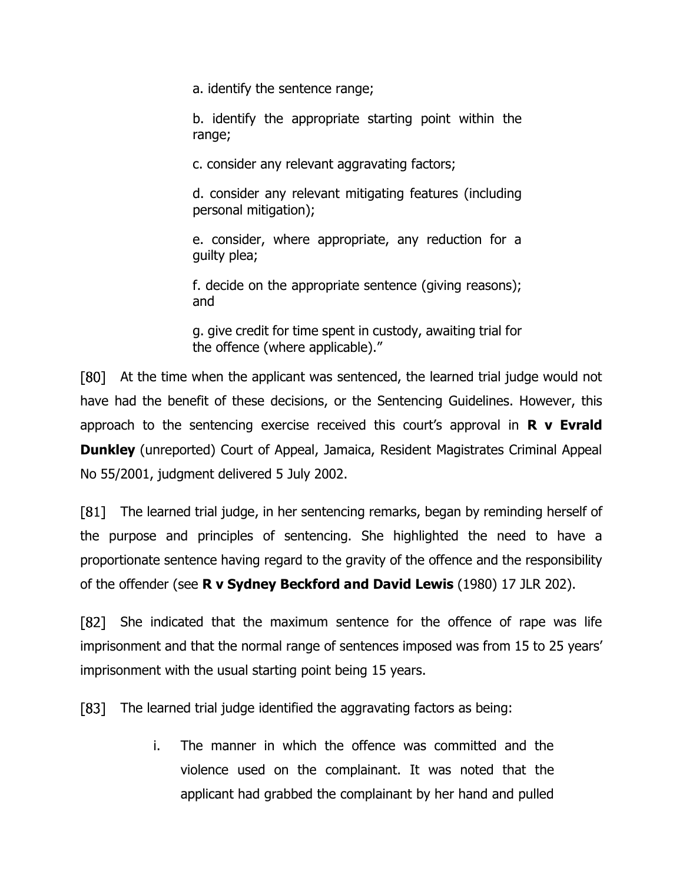a. identify the sentence range;

b. identify the appropriate starting point within the range;

c. consider any relevant aggravating factors;

d. consider any relevant mitigating features (including personal mitigation);

e. consider, where appropriate, any reduction for a guilty plea;

f. decide on the appropriate sentence (giving reasons); and

g. give credit for time spent in custody, awaiting trial for the offence (where applicable)."

[80] At the time when the applicant was sentenced, the learned trial judge would not have had the benefit of these decisions, or the Sentencing Guidelines. However, this approach to the sentencing exercise received this court's approval in **R v Evrald Dunkley** (unreported) Court of Appeal, Jamaica, Resident Magistrates Criminal Appeal No 55/2001, judgment delivered 5 July 2002.

The learned trial judge, in her sentencing remarks, began by reminding herself of the purpose and principles of sentencing. She highlighted the need to have a proportionate sentence having regard to the gravity of the offence and the responsibility of the offender (see **R v Sydney Beckford and David Lewis** (1980) 17 JLR 202).

She indicated that the maximum sentence for the offence of rape was life F821 imprisonment and that the normal range of sentences imposed was from 15 to 25 years' imprisonment with the usual starting point being 15 years.

Г831 — The learned trial judge identified the aggravating factors as being:

> i. The manner in which the offence was committed and the violence used on the complainant. It was noted that the applicant had grabbed the complainant by her hand and pulled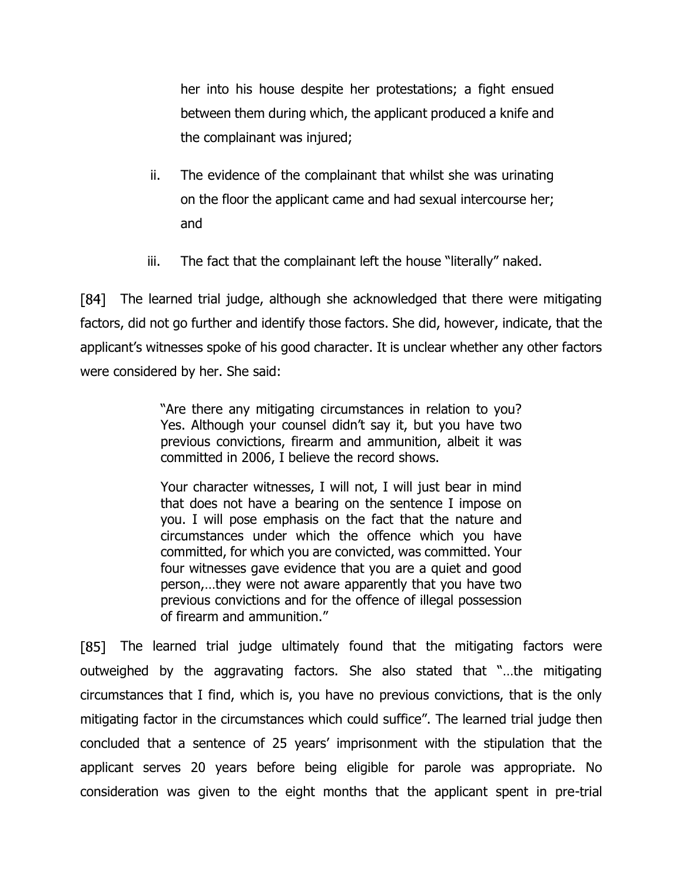her into his house despite her protestations; a fight ensued between them during which, the applicant produced a knife and the complainant was injured;

- ii. The evidence of the complainant that whilst she was urinating on the floor the applicant came and had sexual intercourse her; and
- iii. The fact that the complainant left the house "literally" naked.

[84] The learned trial judge, although she acknowledged that there were mitigating factors, did not go further and identify those factors. She did, however, indicate, that the applicant's witnesses spoke of his good character. It is unclear whether any other factors were considered by her. She said:

> "Are there any mitigating circumstances in relation to you? Yes. Although your counsel didn't say it, but you have two previous convictions, firearm and ammunition, albeit it was committed in 2006, I believe the record shows.

> Your character witnesses, I will not, I will just bear in mind that does not have a bearing on the sentence I impose on you. I will pose emphasis on the fact that the nature and circumstances under which the offence which you have committed, for which you are convicted, was committed. Your four witnesses gave evidence that you are a quiet and good person,…they were not aware apparently that you have two previous convictions and for the offence of illegal possession of firearm and ammunition."

[85] The learned trial judge ultimately found that the mitigating factors were outweighed by the aggravating factors. She also stated that "…the mitigating circumstances that I find, which is, you have no previous convictions, that is the only mitigating factor in the circumstances which could suffice". The learned trial judge then concluded that a sentence of 25 years' imprisonment with the stipulation that the applicant serves 20 years before being eligible for parole was appropriate. No consideration was given to the eight months that the applicant spent in pre-trial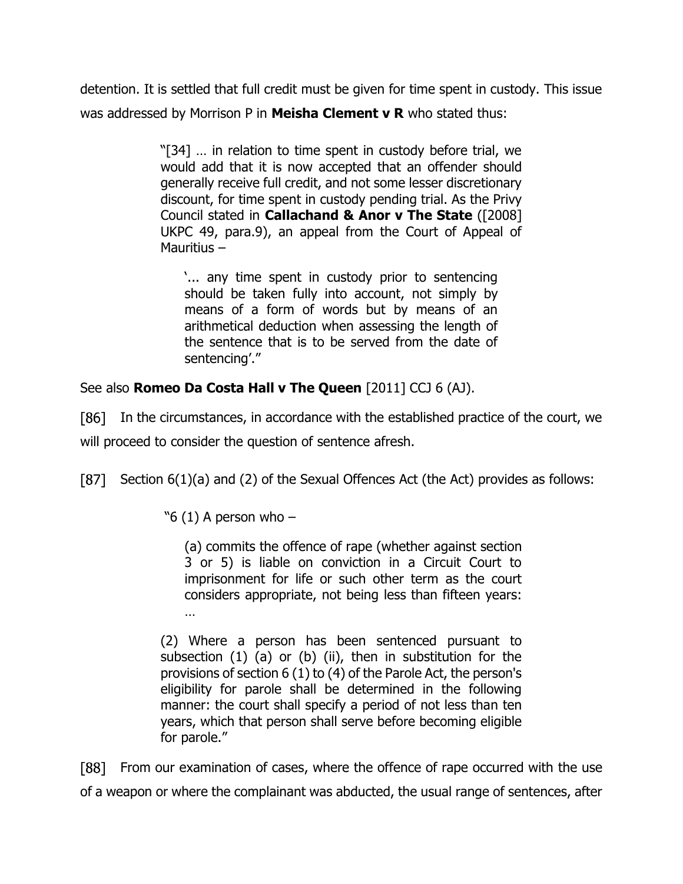detention. It is settled that full credit must be given for time spent in custody. This issue was addressed by Morrison P in **Meisha Clement v R** who stated thus:

> "[34] … in relation to time spent in custody before trial, we would add that it is now accepted that an offender should generally receive full credit, and not some lesser discretionary discount, for time spent in custody pending trial. As the Privy Council stated in **Callachand & Anor v The State** ([2008] UKPC 49, para.9), an appeal from the Court of Appeal of Mauritius –

'... any time spent in custody prior to sentencing should be taken fully into account, not simply by means of a form of words but by means of an arithmetical deduction when assessing the length of the sentence that is to be served from the date of sentencing'."

See also **Romeo Da Costa Hall v The Queen** [2011] CCJ 6 (AJ).

[86] In the circumstances, in accordance with the established practice of the court, we will proceed to consider the question of sentence afresh.

[87] Section 6(1)(a) and (2) of the Sexual Offences Act (the Act) provides as follows:

"6 (1) A person who  $-$ 

(a) commits the offence of rape (whether against section 3 or 5) is liable on conviction in a Circuit Court to imprisonment for life or such other term as the court considers appropriate, not being less than fifteen years: …

(2) Where a person has been sentenced pursuant to subsection (1) (a) or (b) (ii), then in substitution for the provisions of section 6 (1) to (4) of the Parole Act, the person's eligibility for parole shall be determined in the following manner: the court shall specify a period of not less than ten years, which that person shall serve before becoming eligible for parole."

**F881** From our examination of cases, where the offence of rape occurred with the use of a weapon or where the complainant was abducted, the usual range of sentences, after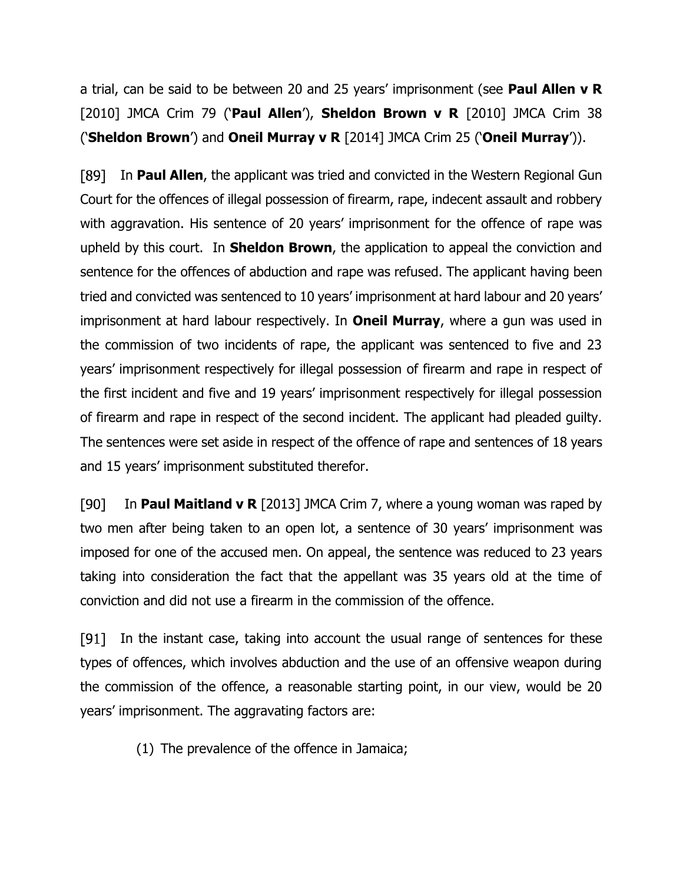a trial, can be said to be between 20 and 25 years' imprisonment (see **Paul Allen v R** [2010] JMCA Crim 79 ('**Paul Allen**'), **Sheldon Brown v R** [2010] JMCA Crim 38 ('**Sheldon Brown**') and **Oneil Murray v R** [2014] JMCA Crim 25 ('**Oneil Murray**')).

[89] In **Paul Allen**, the applicant was tried and convicted in the Western Regional Gun Court for the offences of illegal possession of firearm, rape, indecent assault and robbery with aggravation. His sentence of 20 years' imprisonment for the offence of rape was upheld by this court. In **Sheldon Brown**, the application to appeal the conviction and sentence for the offences of abduction and rape was refused. The applicant having been tried and convicted was sentenced to 10 years' imprisonment at hard labour and 20 years' imprisonment at hard labour respectively. In **Oneil Murray**, where a gun was used in the commission of two incidents of rape, the applicant was sentenced to five and 23 years' imprisonment respectively for illegal possession of firearm and rape in respect of the first incident and five and 19 years' imprisonment respectively for illegal possession of firearm and rape in respect of the second incident. The applicant had pleaded guilty. The sentences were set aside in respect of the offence of rape and sentences of 18 years and 15 years' imprisonment substituted therefor.

In **Paul Maitland v R** [2013] JMCA Crim 7, where a young woman was raped by  $[90]$ two men after being taken to an open lot, a sentence of 30 years' imprisonment was imposed for one of the accused men. On appeal, the sentence was reduced to 23 years taking into consideration the fact that the appellant was 35 years old at the time of conviction and did not use a firearm in the commission of the offence.

[91] In the instant case, taking into account the usual range of sentences for these types of offences, which involves abduction and the use of an offensive weapon during the commission of the offence, a reasonable starting point, in our view, would be 20 years' imprisonment. The aggravating factors are:

(1) The prevalence of the offence in Jamaica;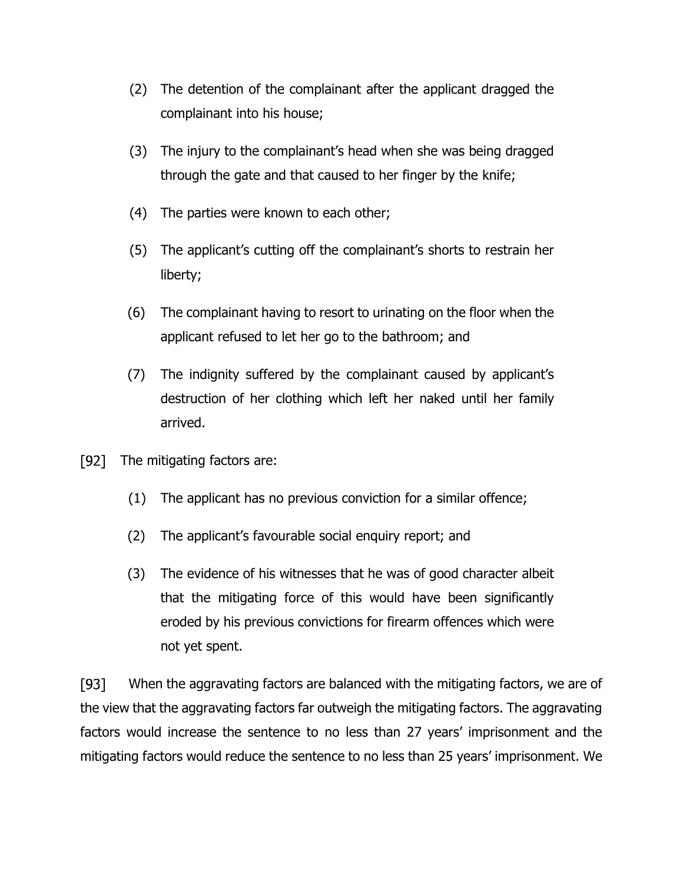- (2) The detention of the complainant after the applicant dragged the complainant into his house;
- (3) The injury to the complainant's head when she was being dragged through the gate and that caused to her finger by the knife;
- (4) The parties were known to each other;
- (5) The applicant's cutting off the complainant's shorts to restrain her liberty;
- (6) The complainant having to resort to urinating on the floor when the applicant refused to let her go to the bathroom; and
- (7) The indignity suffered by the complainant caused by applicant's destruction of her clothing which left her naked until her family arrived.
- $[92]$ The mitigating factors are:
	- (1) The applicant has no previous conviction for a similar offence;
	- (2) The applicant's favourable social enquiry report; and
	- (3) The evidence of his witnesses that he was of good character albeit that the mitigating force of this would have been significantly eroded by his previous convictions for firearm offences which were not yet spent.

[93] When the aggravating factors are balanced with the mitigating factors, we are of the view that the aggravating factors far outweigh the mitigating factors. The aggravating factors would increase the sentence to no less than 27 years' imprisonment and the mitigating factors would reduce the sentence to no less than 25 years' imprisonment. We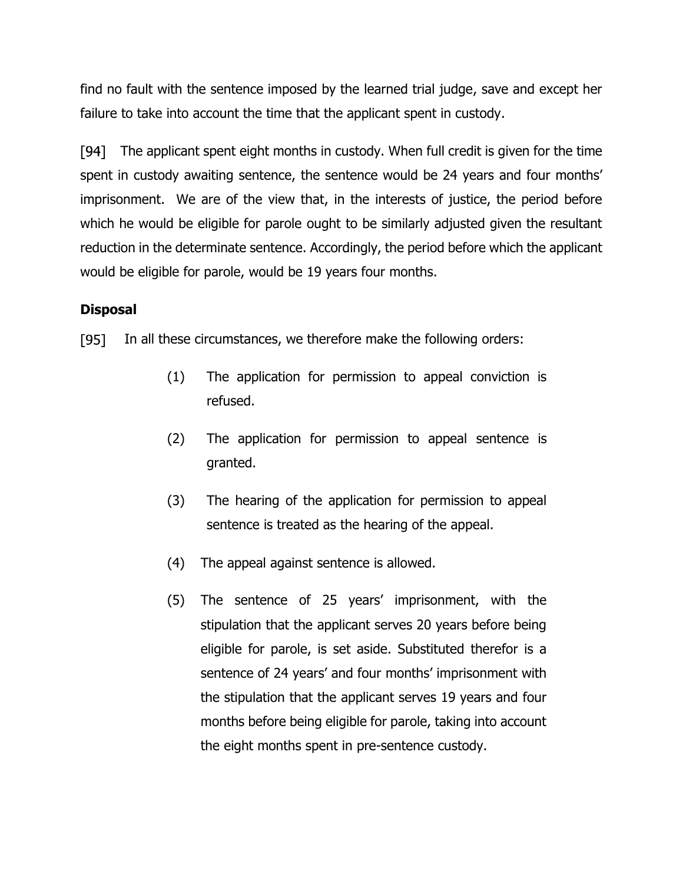find no fault with the sentence imposed by the learned trial judge, save and except her failure to take into account the time that the applicant spent in custody.

The applicant spent eight months in custody. When full credit is given for the time [94] spent in custody awaiting sentence, the sentence would be 24 years and four months' imprisonment. We are of the view that, in the interests of justice, the period before which he would be eligible for parole ought to be similarly adjusted given the resultant reduction in the determinate sentence. Accordingly, the period before which the applicant would be eligible for parole, would be 19 years four months.

## **Disposal**

 $[95]$ In all these circumstances, we therefore make the following orders:

- (1) The application for permission to appeal conviction is refused.
- (2) The application for permission to appeal sentence is granted.
- (3) The hearing of the application for permission to appeal sentence is treated as the hearing of the appeal.
- (4) The appeal against sentence is allowed.
- (5) The sentence of 25 years' imprisonment, with the stipulation that the applicant serves 20 years before being eligible for parole, is set aside. Substituted therefor is a sentence of 24 years' and four months' imprisonment with the stipulation that the applicant serves 19 years and four months before being eligible for parole, taking into account the eight months spent in pre-sentence custody.